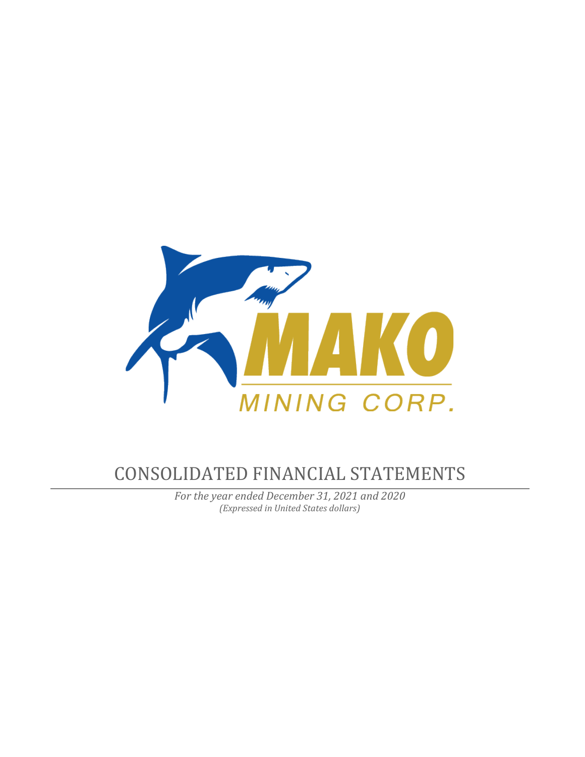

# CONSOLIDATED FINANCIAL STATEMENTS

*For the year ended December 31, 2021 and 2020 (Expressed in United States dollars)*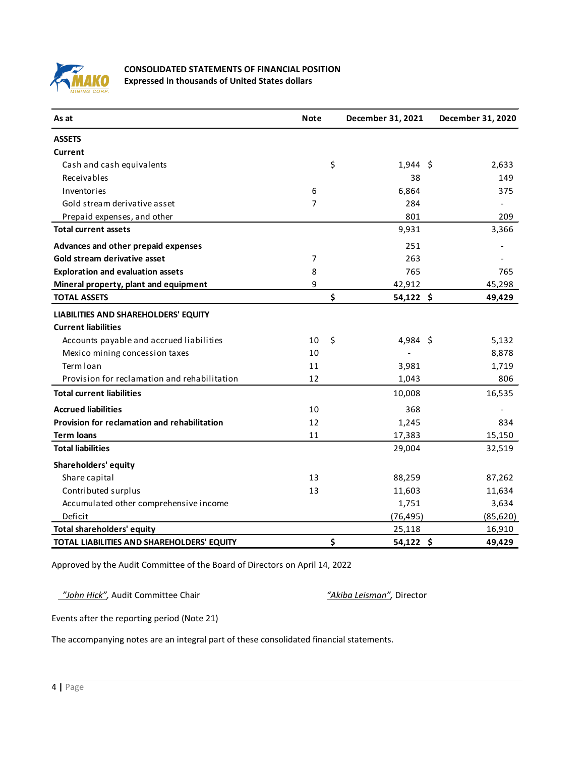

# **CONSOLIDATED STATEMENTS OF FINANCIAL POSITION Expressed in thousands of United States dollars**

| As at                                        | <b>Note</b> | December 31, 2021 | December 31, 2020 |
|----------------------------------------------|-------------|-------------------|-------------------|
| <b>ASSETS</b>                                |             |                   |                   |
| Current                                      |             |                   |                   |
| Cash and cash equivalents                    |             | \$<br>$1,944$ \$  | 2,633             |
| Receivables                                  |             | 38                | 149               |
| Inventories                                  | 6           | 6,864             | 375               |
| Gold stream derivative asset                 | 7           | 284               |                   |
| Prepaid expenses, and other                  |             | 801               | 209               |
| <b>Total current assets</b>                  |             | 9,931             | 3,366             |
| Advances and other prepaid expenses          |             | 251               |                   |
| Gold stream derivative asset                 | 7           | 263               |                   |
| <b>Exploration and evaluation assets</b>     | 8           | 765               | 765               |
| Mineral property, plant and equipment        | 9           | 42,912            | 45,298            |
| <b>TOTAL ASSETS</b>                          |             | \$<br>$54,122$ \$ | 49,429            |
| LIABILITIES AND SHAREHOLDERS' EQUITY         |             |                   |                   |
| <b>Current liabilities</b>                   |             |                   |                   |
| Accounts payable and accrued liabilities     | 10          | \$<br>$4,984$ \$  | 5,132             |
| Mexico mining concession taxes               | 10          |                   | 8,878             |
| Term Ioan                                    | 11          | 3,981             | 1,719             |
| Provision for reclamation and rehabilitation | 12          | 1,043             | 806               |
| <b>Total current liabilities</b>             |             | 10,008            | 16,535            |
| <b>Accrued liabilities</b>                   | 10          | 368               |                   |
| Provision for reclamation and rehabilitation | 12          | 1,245             | 834               |
| <b>Term loans</b>                            | 11          | 17,383            | 15,150            |
| <b>Total liabilities</b>                     |             | 29,004            | 32,519            |
| Shareholders' equity                         |             |                   |                   |
| Share capital                                | 13          | 88,259            | 87,262            |
| Contributed surplus                          | 13          | 11,603            | 11,634            |
| Accumulated other comprehensive income       |             | 1,751             | 3,634             |
| Deficit                                      |             | (76, 495)         | (85, 620)         |
| <b>Total shareholders' equity</b>            |             | 25,118            | 16,910            |
| TOTAL LIABILITIES AND SHAREHOLDERS' EQUITY   |             | \$<br>$54,122$ \$ | 49,429            |

Approved by the Audit Committee of the Board of Directors on April 14, 2022

 *"John Hick",* Audit Committee Chair *"Akiba Leisman",* Director

Events after the reporting period (Note 21)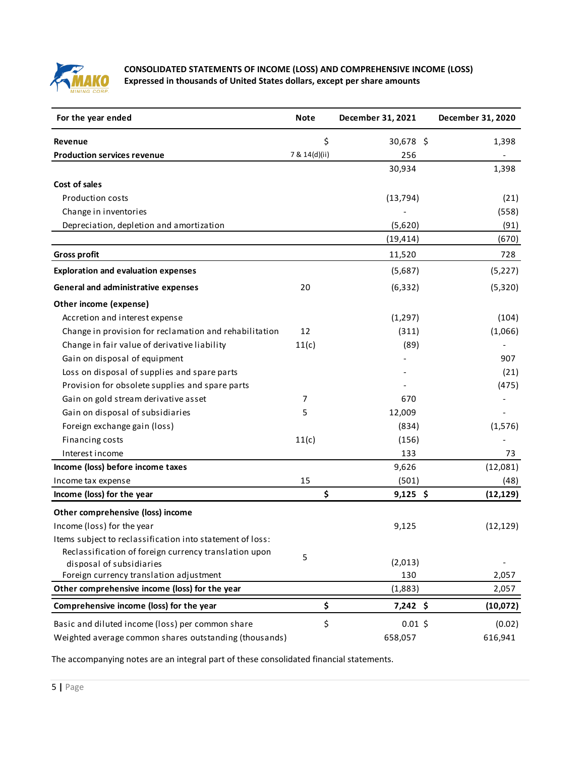

# **CONSOLIDATED STATEMENTS OF INCOME (LOSS) AND COMPREHENSIVE INCOME (LOSS) Expressed in thousands of United States dollars, except per share amounts**

| For the year ended                                        | <b>Note</b>   | December 31, 2021 | December 31, 2020 |
|-----------------------------------------------------------|---------------|-------------------|-------------------|
| <b>Revenue</b>                                            | \$            | 30,678 \$         | 1,398             |
| <b>Production services revenue</b>                        | 7 & 14(d)(ii) | 256               |                   |
|                                                           |               | 30,934            | 1,398             |
| Cost of sales                                             |               |                   |                   |
| <b>Production costs</b>                                   |               | (13, 794)         | (21)              |
| Change in inventories                                     |               |                   | (558)             |
| Depreciation, depletion and amortization                  |               | (5,620)           | (91)              |
|                                                           |               | (19, 414)         | (670)             |
| <b>Gross profit</b>                                       |               | 11,520            | 728               |
| <b>Exploration and evaluation expenses</b>                |               | (5,687)           | (5, 227)          |
| <b>General and administrative expenses</b>                | 20            | (6, 332)          | (5,320)           |
| Other income (expense)                                    |               |                   |                   |
| Accretion and interest expense                            |               | (1, 297)          | (104)             |
| Change in provision for reclamation and rehabilitation    | 12            | (311)             | (1,066)           |
| Change in fair value of derivative liability              | 11(c)         | (89)              |                   |
| Gain on disposal of equipment                             |               |                   | 907               |
| Loss on disposal of supplies and spare parts              |               |                   | (21)              |
| Provision for obsolete supplies and spare parts           |               |                   | (475)             |
| Gain on gold stream derivative asset                      | 7             | 670               |                   |
| Gain on disposal of subsidiaries                          | 5             | 12,009            |                   |
| Foreign exchange gain (loss)                              |               | (834)             | (1, 576)          |
| Financing costs                                           | 11(c)         | (156)             |                   |
| Interest income                                           |               | 133               | 73                |
| Income (loss) before income taxes                         |               | 9,626             | (12,081)          |
| Income tax expense                                        | 15            | (501)             | (48)              |
| Income (loss) for the year                                | \$            | $9,125$ \$        | (12, 129)         |
| Other comprehensive (loss) income                         |               |                   |                   |
| Income (loss) for the year                                |               | 9,125             | (12, 129)         |
| Items subject to reclassification into statement of loss: |               |                   |                   |
| Reclassification of foreign currency translation upon     | 5             |                   |                   |
| disposal of subsidiaries                                  |               | (2,013)           |                   |
| Foreign currency translation adjustment                   |               | 130               | 2,057             |
| Other comprehensive income (loss) for the year            |               | (1,883)           | 2,057             |
| Comprehensive income (loss) for the year                  | \$            | $7,242$ \$        | (10,072)          |
| Basic and diluted income (loss) per common share          | \$            | $0.01$ \$         | (0.02)            |
| Weighted average common shares outstanding (thousands)    |               | 658,057           | 616,941           |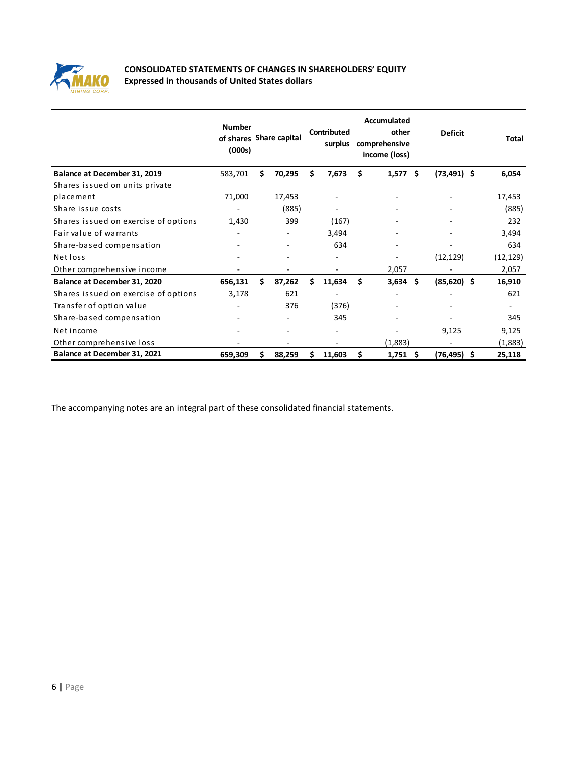

# **CONSOLIDATED STATEMENTS OF CHANGES IN SHAREHOLDERS' EQUITY Expressed in thousands of United States dollars**

|                                      | <b>Number</b><br>of shares Share capital<br>(000s) |    |        |    | <b>Contributed</b><br>surplus |    | Accumulated<br>other<br>comprehensive<br>income (loss) |   | <b>Deficit</b> | Total     |
|--------------------------------------|----------------------------------------------------|----|--------|----|-------------------------------|----|--------------------------------------------------------|---|----------------|-----------|
| Balance at December 31, 2019         | 583,701                                            | Ś. | 70,295 | Ś. | 7,673                         | Ŝ  | $1,577$ \$                                             |   | $(73, 491)$ \$ | 6,054     |
| Shares issued on units private       |                                                    |    |        |    |                               |    |                                                        |   |                |           |
| placement                            | 71,000                                             |    | 17,453 |    |                               |    | $\qquad \qquad \blacksquare$                           |   |                | 17,453    |
| Share issue costs                    |                                                    |    | (885)  |    |                               |    |                                                        |   |                | (885)     |
| Shares issued on exercise of options | 1,430                                              |    | 399    |    | (167)                         |    |                                                        |   |                | 232       |
| Fair value of warrants               | ٠                                                  |    | ۰      |    | 3,494                         |    | $\overline{\phantom{a}}$                               |   |                | 3,494     |
| Share-based compensation             |                                                    |    |        |    | 634                           |    |                                                        |   |                | 634       |
| Net loss                             |                                                    |    |        |    |                               |    |                                                        |   | (12, 129)      | (12, 129) |
| Other comprehensive income           |                                                    |    |        |    |                               |    | 2,057                                                  |   |                | 2,057     |
| Balance at December 31, 2020         | 656,131                                            | Ś  | 87,262 | Ś  | 11,634                        | Ś  | 3,634                                                  | Ŝ | $(85,620)$ \$  | 16,910    |
| Shares issued on exercise of options | 3,178                                              |    | 621    |    |                               |    |                                                        |   |                | 621       |
| Transfer of option value             |                                                    |    | 376    |    | (376)                         |    |                                                        |   |                | ٠.        |
| Share-based compensation             |                                                    |    |        |    | 345                           |    |                                                        |   |                | 345       |
| Net income                           |                                                    |    |        |    |                               |    |                                                        |   | 9,125          | 9,125     |
| Other comprehensive loss             |                                                    |    |        |    |                               |    | (1,883)                                                |   |                | (1,883)   |
| Balance at December 31, 2021         | 659,309                                            | s  | 88,259 |    | 11,603                        | \$ | 1,751                                                  | Ŝ | $(76, 495)$ \$ | 25,118    |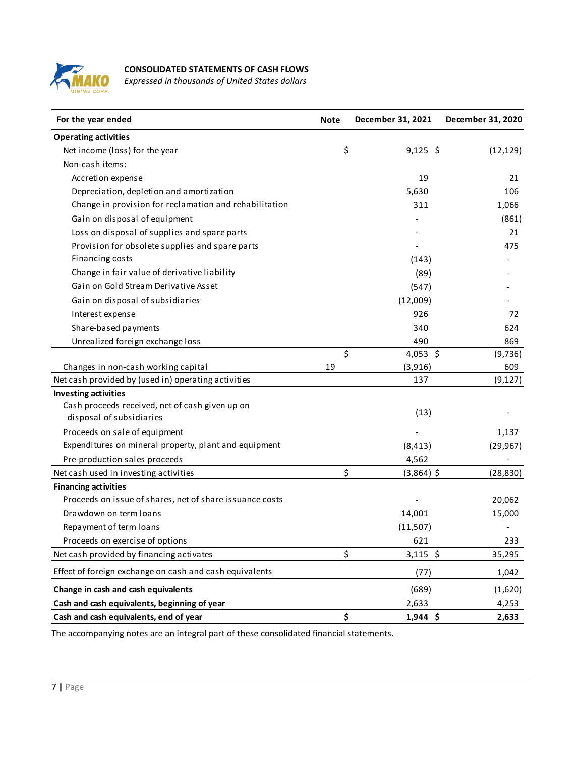

# **CONSOLIDATED STATEMENTS OF CASH FLOWS**

*Expressed in thousands of United States dollars*

| For the year ended                                       | <b>Note</b> | December 31, 2021 | December 31, 2020 |
|----------------------------------------------------------|-------------|-------------------|-------------------|
| <b>Operating activities</b>                              |             |                   |                   |
| Net income (loss) for the year                           | \$          | $9,125$ \$        | (12, 129)         |
| Non-cash items:                                          |             |                   |                   |
| Accretion expense                                        |             | 19                | 21                |
| Depreciation, depletion and amortization                 |             | 5,630             | 106               |
| Change in provision for reclamation and rehabilitation   |             | 311               | 1,066             |
| Gain on disposal of equipment                            |             |                   | (861)             |
| Loss on disposal of supplies and spare parts             |             |                   | 21                |
| Provision for obsolete supplies and spare parts          |             |                   | 475               |
| Financing costs                                          |             | (143)             |                   |
| Change in fair value of derivative liability             |             | (89)              |                   |
| Gain on Gold Stream Derivative Asset                     |             | (547)             |                   |
| Gain on disposal of subsidiaries                         |             | (12,009)          |                   |
| Interest expense                                         |             | 926               | 72                |
| Share-based payments                                     |             | 340               | 624               |
| Unrealized foreign exchange loss                         |             | 490               | 869               |
|                                                          | \$          | 4,053 \$          | (9,736)           |
| Changes in non-cash working capital                      | 19          | (3,916)           | 609               |
| Net cash provided by (used in) operating activities      |             | 137               | (9, 127)          |
| <b>Investing activities</b>                              |             |                   |                   |
| Cash proceeds received, net of cash given up on          |             | (13)              |                   |
| disposal of subsidiaries                                 |             |                   |                   |
| Proceeds on sale of equipment                            |             |                   | 1,137             |
| Expenditures on mineral property, plant and equipment    |             | (8, 413)          | (29, 967)         |
| Pre-production sales proceeds                            |             | 4,562             |                   |
| Net cash used in investing activities                    | \$          | $(3,864)$ \$      | (28, 830)         |
| <b>Financing activities</b>                              |             |                   |                   |
| Proceeds on issue of shares, net of share issuance costs |             |                   | 20,062            |
| Drawdown on term loans                                   |             | 14,001            | 15,000            |
| Repayment of term loans                                  |             | (11,507)          |                   |
| Proceeds on exercise of options                          |             | 621               | 233               |
| Net cash provided by financing activates                 | \$          | $3,115$ \$        | 35,295            |
| Effect of foreign exchange on cash and cash equivalents  |             | (77)              | 1,042             |
| Change in cash and cash equivalents                      |             | (689)             | (1,620)           |
| Cash and cash equivalents, beginning of year             |             | 2,633             | 4,253             |
| Cash and cash equivalents, end of year                   | \$          | 1,944 \$          | 2,633             |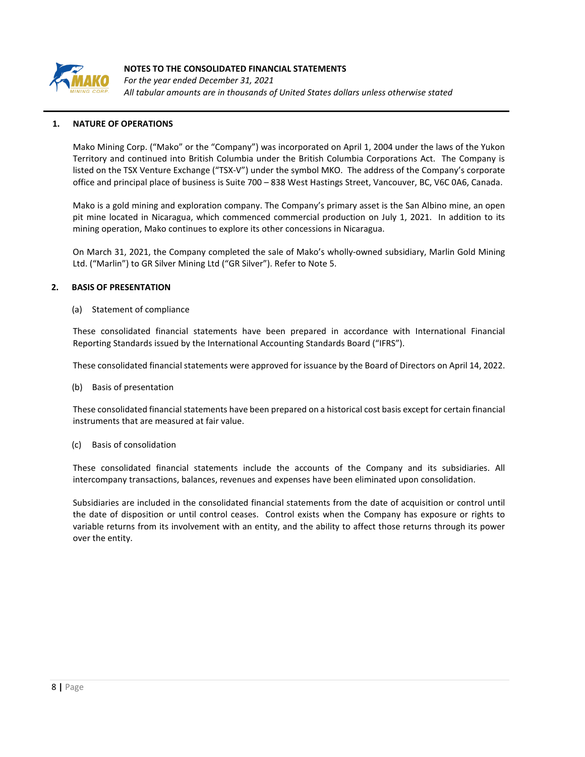

*For the year ended December 31, 2021 All tabular amounts are in thousands of United States dollars unless otherwise stated*

## **1. NATURE OF OPERATIONS**

Mako Mining Corp. ("Mako" or the "Company") was incorporated on April 1, 2004 under the laws of the Yukon Territory and continued into British Columbia under the British Columbia Corporations Act. The Company is listed on the TSX Venture Exchange ("TSX-V") under the symbol MKO. The address of the Company's corporate office and principal place of business is Suite 700 – 838 West Hastings Street, Vancouver, BC, V6C 0A6, Canada.

Mako is a gold mining and exploration company. The Company's primary asset is the San Albino mine, an open pit mine located in Nicaragua, which commenced commercial production on July 1, 2021. In addition to its mining operation, Mako continues to explore its other concessions in Nicaragua.

On March 31, 2021, the Company completed the sale of Mako's wholly-owned subsidiary, Marlin Gold Mining Ltd. ("Marlin") to GR Silver Mining Ltd ("GR Silver"). Refer to Note 5.

#### **2. BASIS OF PRESENTATION**

#### (a) Statement of compliance

These consolidated financial statements have been prepared in accordance with International Financial Reporting Standards issued by the International Accounting Standards Board ("IFRS").

These consolidated financial statements were approved for issuance by the Board of Directors on April 14, 2022.

#### (b) Basis of presentation

These consolidated financial statements have been prepared on a historical cost basis except for certain financial instruments that are measured at fair value.

#### (c) Basis of consolidation

These consolidated financial statements include the accounts of the Company and its subsidiaries. All intercompany transactions, balances, revenues and expenses have been eliminated upon consolidation.

Subsidiaries are included in the consolidated financial statements from the date of acquisition or control until the date of disposition or until control ceases. Control exists when the Company has exposure or rights to variable returns from its involvement with an entity, and the ability to affect those returns through its power over the entity.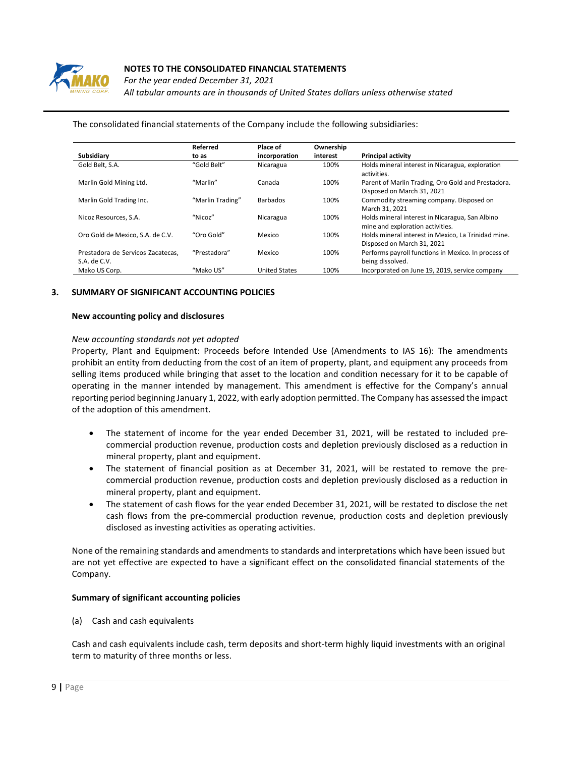

*For the year ended December 31, 2021 All tabular amounts are in thousands of United States dollars unless otherwise stated*

|                                                   | Referred         | Place of             | Ownership |                                                                                     |
|---------------------------------------------------|------------------|----------------------|-----------|-------------------------------------------------------------------------------------|
| Subsidiary                                        | to as            | incorporation        | interest  | <b>Principal activity</b>                                                           |
| Gold Belt, S.A.                                   | "Gold Belt"      | Nicaragua            | 100%      | Holds mineral interest in Nicaragua, exploration<br>activities.                     |
| Marlin Gold Mining Ltd.                           | "Marlin"         | Canada               | 100%      | Parent of Marlin Trading, Oro Gold and Prestadora.<br>Disposed on March 31, 2021    |
| Marlin Gold Trading Inc.                          | "Marlin Trading" | <b>Barbados</b>      | 100%      | Commodity streaming company. Disposed on<br>March 31, 2021                          |
| Nicoz Resources, S.A.                             | "Nicoz"          | Nicaragua            | 100%      | Holds mineral interest in Nicaragua, San Albino<br>mine and exploration activities. |
| Oro Gold de Mexico, S.A. de C.V.                  | "Oro Gold"       | Mexico               | 100%      | Holds mineral interest in Mexico, La Trinidad mine.<br>Disposed on March 31, 2021   |
| Prestadora de Servicos Zacatecas.<br>S.A. de C.V. | "Prestadora"     | Mexico               | 100%      | Performs payroll functions in Mexico. In process of<br>being dissolved.             |
| Mako US Corp.                                     | "Mako US"        | <b>United States</b> | 100%      | Incorporated on June 19, 2019, service company                                      |

#### The consolidated financial statements of the Company include the following subsidiaries:

#### **3. SUMMARY OF SIGNIFICANT ACCOUNTING POLICIES**

#### **New accounting policy and disclosures**

#### *New accounting standards not yet adopted*

Property, Plant and Equipment: Proceeds before Intended Use (Amendments to IAS 16): The amendments prohibit an entity from deducting from the cost of an item of property, plant, and equipment any proceeds from selling items produced while bringing that asset to the location and condition necessary for it to be capable of operating in the manner intended by management. This amendment is effective for the Company's annual reporting period beginning January 1, 2022, with early adoption permitted. The Company has assessed the impact of the adoption of this amendment.

- The statement of income for the year ended December 31, 2021, will be restated to included precommercial production revenue, production costs and depletion previously disclosed as a reduction in mineral property, plant and equipment.
- The statement of financial position as at December 31, 2021, will be restated to remove the precommercial production revenue, production costs and depletion previously disclosed as a reduction in mineral property, plant and equipment.
- The statement of cash flows for the year ended December 31, 2021, will be restated to disclose the net cash flows from the pre-commercial production revenue, production costs and depletion previously disclosed as investing activities as operating activities.

None of the remaining standards and amendments to standards and interpretations which have been issued but are not yet effective are expected to have a significant effect on the consolidated financial statements of the Company.

#### **Summary of significant accounting policies**

(a) Cash and cash equivalents

Cash and cash equivalents include cash, term deposits and short-term highly liquid investments with an original term to maturity of three months or less.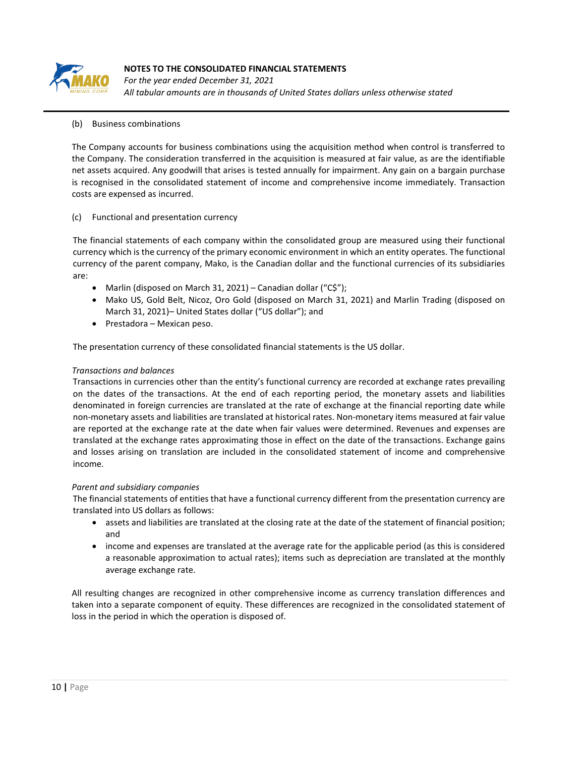

*For the year ended December 31, 2021 All tabular amounts are in thousands of United States dollars unless otherwise stated*

## (b) Business combinations

The Company accounts for business combinations using the acquisition method when control is transferred to the Company. The consideration transferred in the acquisition is measured at fair value, as are the identifiable net assets acquired. Any goodwill that arises is tested annually for impairment. Any gain on a bargain purchase is recognised in the consolidated statement of income and comprehensive income immediately. Transaction costs are expensed as incurred.

#### (c) Functional and presentation currency

The financial statements of each company within the consolidated group are measured using their functional currency which is the currency of the primary economic environment in which an entity operates. The functional currency of the parent company, Mako, is the Canadian dollar and the functional currencies of its subsidiaries are:

- Marlin (disposed on March 31, 2021) Canadian dollar ("C\$");
- Mako US, Gold Belt, Nicoz, Oro Gold (disposed on March 31, 2021) and Marlin Trading (disposed on March 31, 2021)– United States dollar ("US dollar"); and
- Prestadora Mexican peso.

The presentation currency of these consolidated financial statements is the US dollar.

#### *Transactions and balances*

Transactions in currencies other than the entity's functional currency are recorded at exchange rates prevailing on the dates of the transactions. At the end of each reporting period, the monetary assets and liabilities denominated in foreign currencies are translated at the rate of exchange at the financial reporting date while non-monetary assets and liabilities are translated at historical rates. Non-monetary items measured at fair value are reported at the exchange rate at the date when fair values were determined. Revenues and expenses are translated at the exchange rates approximating those in effect on the date of the transactions. Exchange gains and losses arising on translation are included in the consolidated statement of income and comprehensive income.

## *Parent and subsidiary companies*

The financial statements of entities that have a functional currency different from the presentation currency are translated into US dollars as follows:

- assets and liabilities are translated at the closing rate at the date of the statement of financial position; and
- income and expenses are translated at the average rate for the applicable period (as this is considered a reasonable approximation to actual rates); items such as depreciation are translated at the monthly average exchange rate.

All resulting changes are recognized in other comprehensive income as currency translation differences and taken into a separate component of equity. These differences are recognized in the consolidated statement of loss in the period in which the operation is disposed of.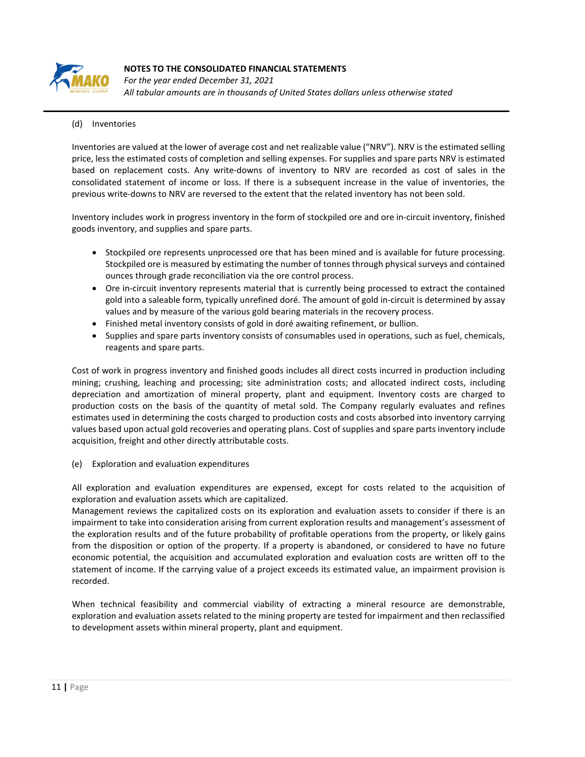

*For the year ended December 31, 2021 All tabular amounts are in thousands of United States dollars unless otherwise stated*

# (d) Inventories

Inventories are valued at the lower of average cost and net realizable value ("NRV"). NRV is the estimated selling price, less the estimated costs of completion and selling expenses. For supplies and spare parts NRV is estimated based on replacement costs. Any write-downs of inventory to NRV are recorded as cost of sales in the consolidated statement of income or loss. If there is a subsequent increase in the value of inventories, the previous write-downs to NRV are reversed to the extent that the related inventory has not been sold.

Inventory includes work in progress inventory in the form of stockpiled ore and ore in-circuit inventory, finished goods inventory, and supplies and spare parts.

- Stockpiled ore represents unprocessed ore that has been mined and is available for future processing. Stockpiled ore is measured by estimating the number of tonnes through physical surveys and contained ounces through grade reconciliation via the ore control process.
- Ore in-circuit inventory represents material that is currently being processed to extract the contained gold into a saleable form, typically unrefined doré. The amount of gold in-circuit is determined by assay values and by measure of the various gold bearing materials in the recovery process.
- Finished metal inventory consists of gold in doré awaiting refinement, or bullion.
- Supplies and spare parts inventory consists of consumables used in operations, such as fuel, chemicals, reagents and spare parts.

Cost of work in progress inventory and finished goods includes all direct costs incurred in production including mining; crushing, leaching and processing; site administration costs; and allocated indirect costs, including depreciation and amortization of mineral property, plant and equipment. Inventory costs are charged to production costs on the basis of the quantity of metal sold. The Company regularly evaluates and refines estimates used in determining the costs charged to production costs and costs absorbed into inventory carrying values based upon actual gold recoveries and operating plans. Cost of supplies and spare parts inventory include acquisition, freight and other directly attributable costs.

(e) Exploration and evaluation expenditures

All exploration and evaluation expenditures are expensed, except for costs related to the acquisition of exploration and evaluation assets which are capitalized.

Management reviews the capitalized costs on its exploration and evaluation assets to consider if there is an impairment to take into consideration arising from current exploration results and management's assessment of the exploration results and of the future probability of profitable operations from the property, or likely gains from the disposition or option of the property. If a property is abandoned, or considered to have no future economic potential, the acquisition and accumulated exploration and evaluation costs are written off to the statement of income. If the carrying value of a project exceeds its estimated value, an impairment provision is recorded.

When technical feasibility and commercial viability of extracting a mineral resource are demonstrable, exploration and evaluation assets related to the mining property are tested for impairment and then reclassified to development assets within mineral property, plant and equipment.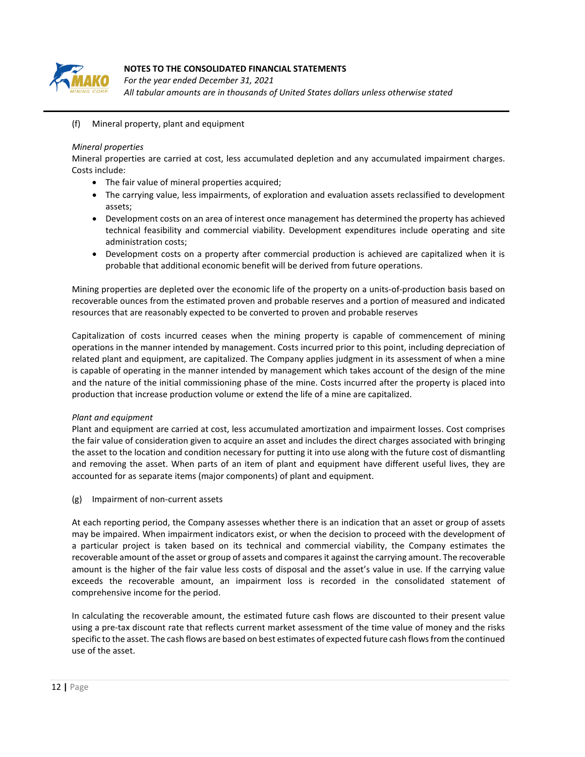

*For the year ended December 31, 2021 All tabular amounts are in thousands of United States dollars unless otherwise stated*

(f) Mineral property, plant and equipment

## *Mineral properties*

Mineral properties are carried at cost, less accumulated depletion and any accumulated impairment charges. Costs include:

- The fair value of mineral properties acquired;
- The carrying value, less impairments, of exploration and evaluation assets reclassified to development assets;
- Development costs on an area of interest once management has determined the property has achieved technical feasibility and commercial viability. Development expenditures include operating and site administration costs;
- Development costs on a property after commercial production is achieved are capitalized when it is probable that additional economic benefit will be derived from future operations.

Mining properties are depleted over the economic life of the property on a units-of-production basis based on recoverable ounces from the estimated proven and probable reserves and a portion of measured and indicated resources that are reasonably expected to be converted to proven and probable reserves

Capitalization of costs incurred ceases when the mining property is capable of commencement of mining operations in the manner intended by management. Costs incurred prior to this point, including depreciation of related plant and equipment, are capitalized. The Company applies judgment in its assessment of when a mine is capable of operating in the manner intended by management which takes account of the design of the mine and the nature of the initial commissioning phase of the mine. Costs incurred after the property is placed into production that increase production volume or extend the life of a mine are capitalized.

## *Plant and equipment*

Plant and equipment are carried at cost, less accumulated amortization and impairment losses. Cost comprises the fair value of consideration given to acquire an asset and includes the direct charges associated with bringing the asset to the location and condition necessary for putting it into use along with the future cost of dismantling and removing the asset. When parts of an item of plant and equipment have different useful lives, they are accounted for as separate items (major components) of plant and equipment.

(g) Impairment of non-current assets

At each reporting period, the Company assesses whether there is an indication that an asset or group of assets may be impaired. When impairment indicators exist, or when the decision to proceed with the development of a particular project is taken based on its technical and commercial viability, the Company estimates the recoverable amount of the asset or group of assets and compares it against the carrying amount. The recoverable amount is the higher of the fair value less costs of disposal and the asset's value in use. If the carrying value exceeds the recoverable amount, an impairment loss is recorded in the consolidated statement of comprehensive income for the period.

In calculating the recoverable amount, the estimated future cash flows are discounted to their present value using a pre-tax discount rate that reflects current market assessment of the time value of money and the risks specific to the asset. The cash flows are based on best estimates of expected future cash flows from the continued use of the asset.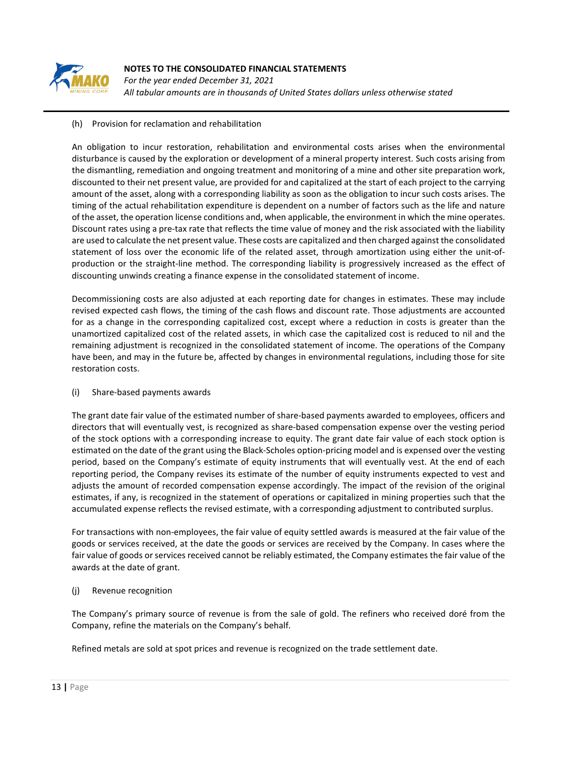

*For the year ended December 31, 2021 All tabular amounts are in thousands of United States dollars unless otherwise stated*

## (h) Provision for reclamation and rehabilitation

An obligation to incur restoration, rehabilitation and environmental costs arises when the environmental disturbance is caused by the exploration or development of a mineral property interest. Such costs arising from the dismantling, remediation and ongoing treatment and monitoring of a mine and other site preparation work, discounted to their net present value, are provided for and capitalized at the start of each project to the carrying amount of the asset, along with a corresponding liability as soon as the obligation to incur such costs arises. The timing of the actual rehabilitation expenditure is dependent on a number of factors such as the life and nature of the asset, the operation license conditions and, when applicable, the environment in which the mine operates. Discount rates using a pre-tax rate that reflects the time value of money and the risk associated with the liability are used to calculate the net present value. These costs are capitalized and then charged against the consolidated statement of loss over the economic life of the related asset, through amortization using either the unit-ofproduction or the straight-line method. The corresponding liability is progressively increased as the effect of discounting unwinds creating a finance expense in the consolidated statement of income.

Decommissioning costs are also adjusted at each reporting date for changes in estimates. These may include revised expected cash flows, the timing of the cash flows and discount rate. Those adjustments are accounted for as a change in the corresponding capitalized cost, except where a reduction in costs is greater than the unamortized capitalized cost of the related assets, in which case the capitalized cost is reduced to nil and the remaining adjustment is recognized in the consolidated statement of income. The operations of the Company have been, and may in the future be, affected by changes in environmental regulations, including those for site restoration costs.

#### (i) Share-based payments awards

The grant date fair value of the estimated number of share-based payments awarded to employees, officers and directors that will eventually vest, is recognized as share-based compensation expense over the vesting period of the stock options with a corresponding increase to equity. The grant date fair value of each stock option is estimated on the date of the grant using the Black-Scholes option-pricing model and is expensed over the vesting period, based on the Company's estimate of equity instruments that will eventually vest. At the end of each reporting period, the Company revises its estimate of the number of equity instruments expected to vest and adjusts the amount of recorded compensation expense accordingly. The impact of the revision of the original estimates, if any, is recognized in the statement of operations or capitalized in mining properties such that the accumulated expense reflects the revised estimate, with a corresponding adjustment to contributed surplus.

For transactions with non-employees, the fair value of equity settled awards is measured at the fair value of the goods or services received, at the date the goods or services are received by the Company. In cases where the fair value of goods or services received cannot be reliably estimated, the Company estimates the fair value of the awards at the date of grant.

## (j) Revenue recognition

The Company's primary source of revenue is from the sale of gold. The refiners who received doré from the Company, refine the materials on the Company's behalf.

Refined metals are sold at spot prices and revenue is recognized on the trade settlement date.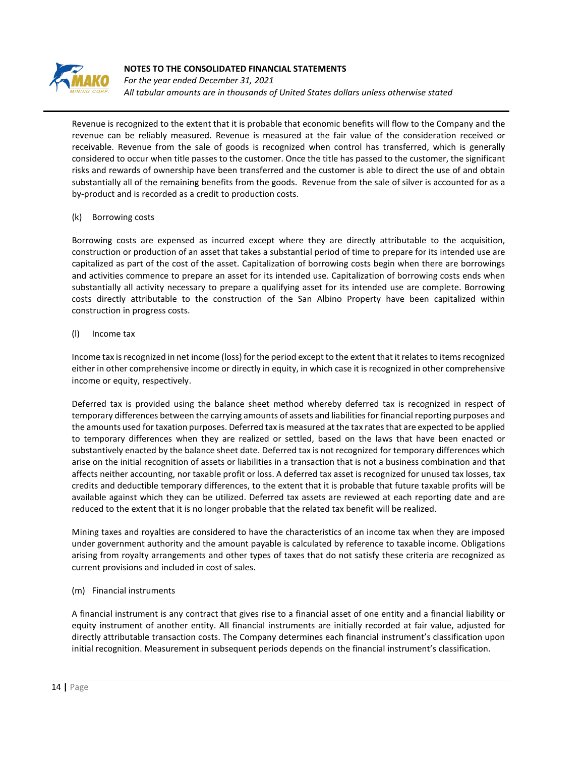

*For the year ended December 31, 2021 All tabular amounts are in thousands of United States dollars unless otherwise stated*

Revenue is recognized to the extent that it is probable that economic benefits will flow to the Company and the revenue can be reliably measured. Revenue is measured at the fair value of the consideration received or receivable. Revenue from the sale of goods is recognized when control has transferred, which is generally considered to occur when title passes to the customer. Once the title has passed to the customer, the significant risks and rewards of ownership have been transferred and the customer is able to direct the use of and obtain substantially all of the remaining benefits from the goods. Revenue from the sale of silver is accounted for as a by-product and is recorded as a credit to production costs.

#### (k) Borrowing costs

Borrowing costs are expensed as incurred except where they are directly attributable to the acquisition, construction or production of an asset that takes a substantial period of time to prepare for its intended use are capitalized as part of the cost of the asset. Capitalization of borrowing costs begin when there are borrowings and activities commence to prepare an asset for its intended use. Capitalization of borrowing costs ends when substantially all activity necessary to prepare a qualifying asset for its intended use are complete. Borrowing costs directly attributable to the construction of the San Albino Property have been capitalized within construction in progress costs.

#### (l) Income tax

Income tax is recognized in net income (loss) for the period except to the extent that it relates to items recognized either in other comprehensive income or directly in equity, in which case it is recognized in other comprehensive income or equity, respectively.

Deferred tax is provided using the balance sheet method whereby deferred tax is recognized in respect of temporary differences between the carrying amounts of assets and liabilities for financial reporting purposes and the amounts used for taxation purposes. Deferred tax is measured at the tax rates that are expected to be applied to temporary differences when they are realized or settled, based on the laws that have been enacted or substantively enacted by the balance sheet date. Deferred tax is not recognized for temporary differences which arise on the initial recognition of assets or liabilities in a transaction that is not a business combination and that affects neither accounting, nor taxable profit or loss. A deferred tax asset is recognized for unused tax losses, tax credits and deductible temporary differences, to the extent that it is probable that future taxable profits will be available against which they can be utilized. Deferred tax assets are reviewed at each reporting date and are reduced to the extent that it is no longer probable that the related tax benefit will be realized.

Mining taxes and royalties are considered to have the characteristics of an income tax when they are imposed under government authority and the amount payable is calculated by reference to taxable income. Obligations arising from royalty arrangements and other types of taxes that do not satisfy these criteria are recognized as current provisions and included in cost of sales.

## (m) Financial instruments

A financial instrument is any contract that gives rise to a financial asset of one entity and a financial liability or equity instrument of another entity. All financial instruments are initially recorded at fair value, adjusted for directly attributable transaction costs. The Company determines each financial instrument's classification upon initial recognition. Measurement in subsequent periods depends on the financial instrument's classification.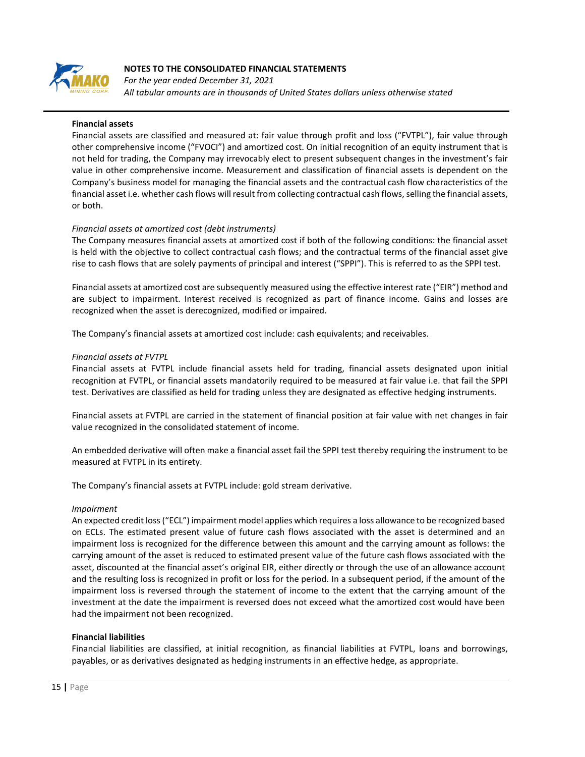

*For the year ended December 31, 2021 All tabular amounts are in thousands of United States dollars unless otherwise stated*

#### **Financial assets**

Financial assets are classified and measured at: fair value through profit and loss ("FVTPL"), fair value through other comprehensive income ("FVOCI") and amortized cost. On initial recognition of an equity instrument that is not held for trading, the Company may irrevocably elect to present subsequent changes in the investment's fair value in other comprehensive income. Measurement and classification of financial assets is dependent on the Company's business model for managing the financial assets and the contractual cash flow characteristics of the financial asset i.e. whether cash flows will result from collecting contractual cash flows, selling the financial assets, or both.

#### *Financial assets at amortized cost (debt instruments)*

The Company measures financial assets at amortized cost if both of the following conditions: the financial asset is held with the objective to collect contractual cash flows; and the contractual terms of the financial asset give rise to cash flows that are solely payments of principal and interest ("SPPI"). This is referred to as the SPPI test.

Financial assets at amortized cost are subsequently measured using the effective interest rate ("EIR") method and are subject to impairment. Interest received is recognized as part of finance income. Gains and losses are recognized when the asset is derecognized, modified or impaired.

The Company's financial assets at amortized cost include: cash equivalents; and receivables.

#### *Financial assets at FVTPL*

Financial assets at FVTPL include financial assets held for trading, financial assets designated upon initial recognition at FVTPL, or financial assets mandatorily required to be measured at fair value i.e. that fail the SPPI test. Derivatives are classified as held for trading unless they are designated as effective hedging instruments.

Financial assets at FVTPL are carried in the statement of financial position at fair value with net changes in fair value recognized in the consolidated statement of income.

An embedded derivative will often make a financial asset fail the SPPI test thereby requiring the instrument to be measured at FVTPL in its entirety.

The Company's financial assets at FVTPL include: gold stream derivative.

#### *Impairment*

An expected credit loss ("ECL") impairment model applies which requires a loss allowance to be recognized based on ECLs. The estimated present value of future cash flows associated with the asset is determined and an impairment loss is recognized for the difference between this amount and the carrying amount as follows: the carrying amount of the asset is reduced to estimated present value of the future cash flows associated with the asset, discounted at the financial asset's original EIR, either directly or through the use of an allowance account and the resulting loss is recognized in profit or loss for the period. In a subsequent period, if the amount of the impairment loss is reversed through the statement of income to the extent that the carrying amount of the investment at the date the impairment is reversed does not exceed what the amortized cost would have been had the impairment not been recognized.

## **Financial liabilities**

Financial liabilities are classified, at initial recognition, as financial liabilities at FVTPL, loans and borrowings, payables, or as derivatives designated as hedging instruments in an effective hedge, as appropriate.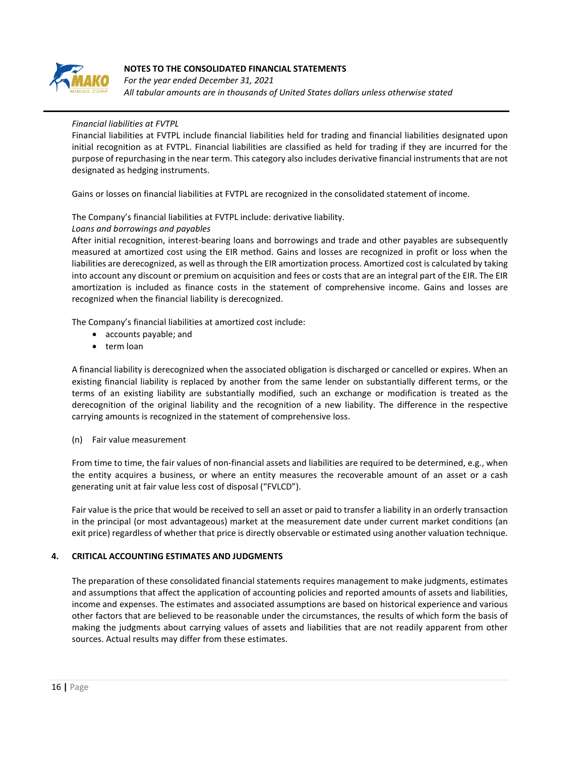

*For the year ended December 31, 2021 All tabular amounts are in thousands of United States dollars unless otherwise stated*

## *Financial liabilities at FVTPL*

Financial liabilities at FVTPL include financial liabilities held for trading and financial liabilities designated upon initial recognition as at FVTPL. Financial liabilities are classified as held for trading if they are incurred for the purpose of repurchasing in the near term. This category also includes derivative financial instruments that are not designated as hedging instruments.

Gains or losses on financial liabilities at FVTPL are recognized in the consolidated statement of income.

The Company's financial liabilities at FVTPL include: derivative liability.

#### *Loans and borrowings and payables*

After initial recognition, interest-bearing loans and borrowings and trade and other payables are subsequently measured at amortized cost using the EIR method. Gains and losses are recognized in profit or loss when the liabilities are derecognized, as well as through the EIR amortization process. Amortized cost is calculated by taking into account any discount or premium on acquisition and fees or costs that are an integral part of the EIR. The EIR amortization is included as finance costs in the statement of comprehensive income. Gains and losses are recognized when the financial liability is derecognized.

The Company's financial liabilities at amortized cost include:

- accounts payable; and
- term loan

A financial liability is derecognized when the associated obligation is discharged or cancelled or expires. When an existing financial liability is replaced by another from the same lender on substantially different terms, or the terms of an existing liability are substantially modified, such an exchange or modification is treated as the derecognition of the original liability and the recognition of a new liability. The difference in the respective carrying amounts is recognized in the statement of comprehensive loss.

(n) Fair value measurement

From time to time, the fair values of non-financial assets and liabilities are required to be determined, e.g., when the entity acquires a business, or where an entity measures the recoverable amount of an asset or a cash generating unit at fair value less cost of disposal ("FVLCD").

Fair value is the price that would be received to sell an asset or paid to transfer a liability in an orderly transaction in the principal (or most advantageous) market at the measurement date under current market conditions (an exit price) regardless of whether that price is directly observable or estimated using another valuation technique.

## **4. CRITICAL ACCOUNTING ESTIMATES AND JUDGMENTS**

The preparation of these consolidated financial statements requires management to make judgments, estimates and assumptions that affect the application of accounting policies and reported amounts of assets and liabilities, income and expenses. The estimates and associated assumptions are based on historical experience and various other factors that are believed to be reasonable under the circumstances, the results of which form the basis of making the judgments about carrying values of assets and liabilities that are not readily apparent from other sources. Actual results may differ from these estimates.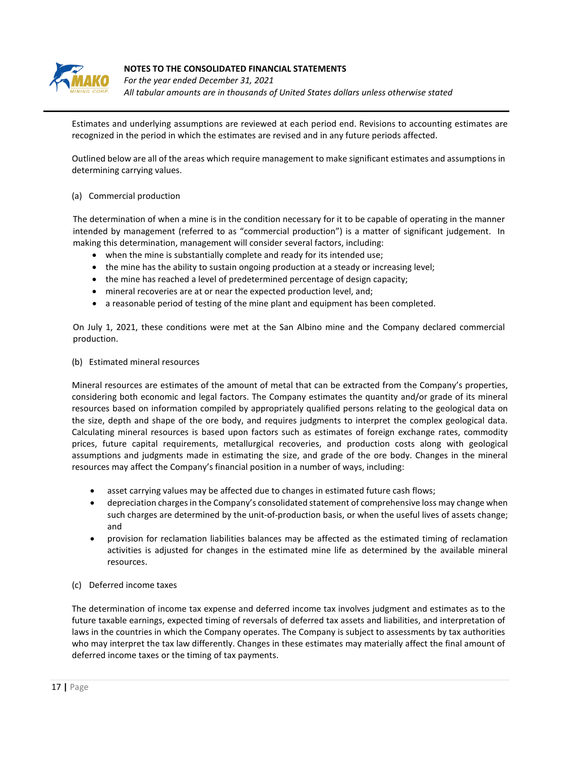

*For the year ended December 31, 2021 All tabular amounts are in thousands of United States dollars unless otherwise stated*

Estimates and underlying assumptions are reviewed at each period end. Revisions to accounting estimates are recognized in the period in which the estimates are revised and in any future periods affected.

Outlined below are all of the areas which require management to make significant estimates and assumptions in determining carrying values.

#### (a) Commercial production

The determination of when a mine is in the condition necessary for it to be capable of operating in the manner intended by management (referred to as "commercial production") is a matter of significant judgement. In making this determination, management will consider several factors, including:

- when the mine is substantially complete and ready for its intended use;
- the mine has the ability to sustain ongoing production at a steady or increasing level;
- the mine has reached a level of predetermined percentage of design capacity;
- mineral recoveries are at or near the expected production level, and;
- a reasonable period of testing of the mine plant and equipment has been completed.

On July 1, 2021, these conditions were met at the San Albino mine and the Company declared commercial production.

#### (b) Estimated mineral resources

Mineral resources are estimates of the amount of metal that can be extracted from the Company's properties, considering both economic and legal factors. The Company estimates the quantity and/or grade of its mineral resources based on information compiled by appropriately qualified persons relating to the geological data on the size, depth and shape of the ore body, and requires judgments to interpret the complex geological data. Calculating mineral resources is based upon factors such as estimates of foreign exchange rates, commodity prices, future capital requirements, metallurgical recoveries, and production costs along with geological assumptions and judgments made in estimating the size, and grade of the ore body. Changes in the mineral resources may affect the Company's financial position in a number of ways, including:

- asset carrying values may be affected due to changes in estimated future cash flows;
- depreciation charges in the Company's consolidated statement of comprehensive loss may change when such charges are determined by the unit-of-production basis, or when the useful lives of assets change; and
- provision for reclamation liabilities balances may be affected as the estimated timing of reclamation activities is adjusted for changes in the estimated mine life as determined by the available mineral resources.
- (c) Deferred income taxes

The determination of income tax expense and deferred income tax involves judgment and estimates as to the future taxable earnings, expected timing of reversals of deferred tax assets and liabilities, and interpretation of laws in the countries in which the Company operates. The Company is subject to assessments by tax authorities who may interpret the tax law differently. Changes in these estimates may materially affect the final amount of deferred income taxes or the timing of tax payments.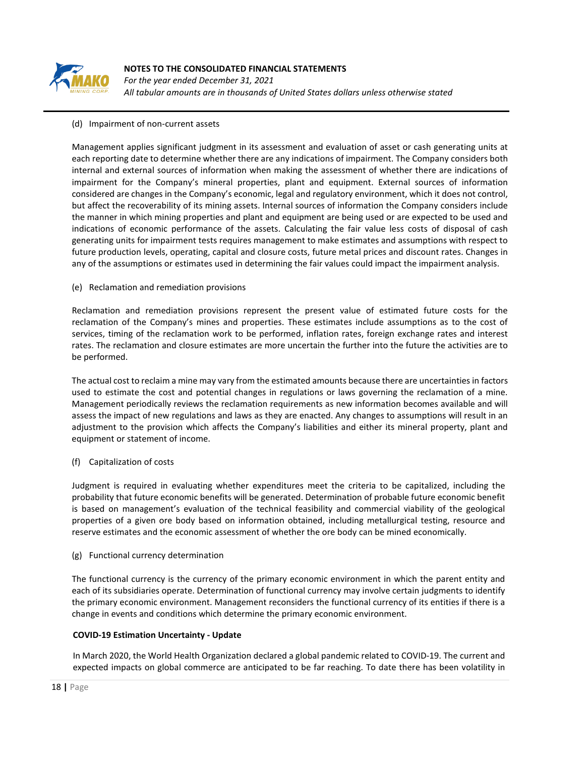

*For the year ended December 31, 2021 All tabular amounts are in thousands of United States dollars unless otherwise stated*

## (d) Impairment of non-current assets

Management applies significant judgment in its assessment and evaluation of asset or cash generating units at each reporting date to determine whether there are any indications of impairment. The Company considers both internal and external sources of information when making the assessment of whether there are indications of impairment for the Company's mineral properties, plant and equipment. External sources of information considered are changes in the Company's economic, legal and regulatory environment, which it does not control, but affect the recoverability of its mining assets. Internal sources of information the Company considers include the manner in which mining properties and plant and equipment are being used or are expected to be used and indications of economic performance of the assets. Calculating the fair value less costs of disposal of cash generating units for impairment tests requires management to make estimates and assumptions with respect to future production levels, operating, capital and closure costs, future metal prices and discount rates. Changes in any of the assumptions or estimates used in determining the fair values could impact the impairment analysis.

#### (e) Reclamation and remediation provisions

Reclamation and remediation provisions represent the present value of estimated future costs for the reclamation of the Company's mines and properties. These estimates include assumptions as to the cost of services, timing of the reclamation work to be performed, inflation rates, foreign exchange rates and interest rates. The reclamation and closure estimates are more uncertain the further into the future the activities are to be performed.

The actual cost to reclaim a mine may vary from the estimated amounts because there are uncertainties in factors used to estimate the cost and potential changes in regulations or laws governing the reclamation of a mine. Management periodically reviews the reclamation requirements as new information becomes available and will assess the impact of new regulations and laws as they are enacted. Any changes to assumptions will result in an adjustment to the provision which affects the Company's liabilities and either its mineral property, plant and equipment or statement of income.

## (f) Capitalization of costs

Judgment is required in evaluating whether expenditures meet the criteria to be capitalized, including the probability that future economic benefits will be generated. Determination of probable future economic benefit is based on management's evaluation of the technical feasibility and commercial viability of the geological properties of a given ore body based on information obtained, including metallurgical testing, resource and reserve estimates and the economic assessment of whether the ore body can be mined economically.

#### (g) Functional currency determination

The functional currency is the currency of the primary economic environment in which the parent entity and each of its subsidiaries operate. Determination of functional currency may involve certain judgments to identify the primary economic environment. Management reconsiders the functional currency of its entities if there is a change in events and conditions which determine the primary economic environment.

## **COVID-19 Estimation Uncertainty - Update**

In March 2020, the World Health Organization declared a global pandemic related to COVID-19. The current and expected impacts on global commerce are anticipated to be far reaching. To date there has been volatility in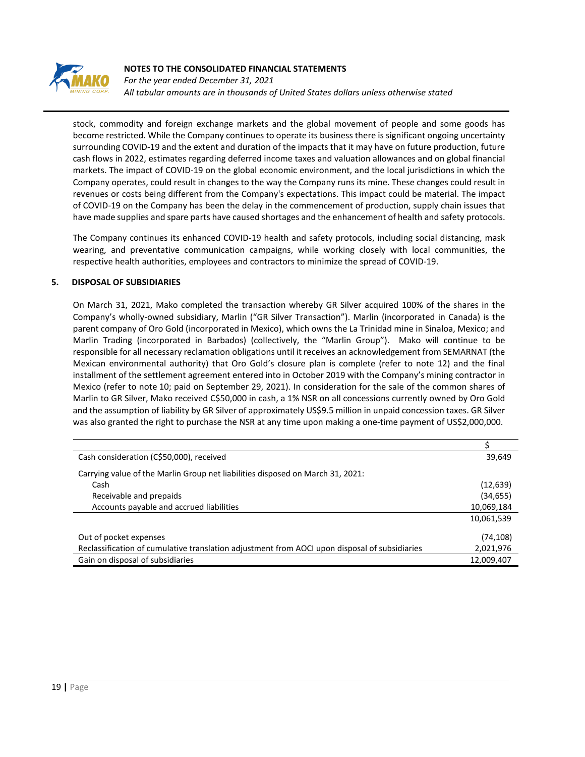

*For the year ended December 31, 2021 All tabular amounts are in thousands of United States dollars unless otherwise stated*

stock, commodity and foreign exchange markets and the global movement of people and some goods has become restricted. While the Company continues to operate its business there is significant ongoing uncertainty surrounding COVID-19 and the extent and duration of the impacts that it may have on future production, future cash flows in 2022, estimates regarding deferred income taxes and valuation allowances and on global financial markets. The impact of COVID-19 on the global economic environment, and the local jurisdictions in which the Company operates, could result in changes to the way the Company runs its mine. These changes could result in revenues or costs being different from the Company's expectations. This impact could be material. The impact of COVID-19 on the Company has been the delay in the commencement of production, supply chain issues that have made supplies and spare parts have caused shortages and the enhancement of health and safety protocols.

The Company continues its enhanced COVID-19 health and safety protocols, including social distancing, mask wearing, and preventative communication campaigns, while working closely with local communities, the respective health authorities, employees and contractors to minimize the spread of COVID-19.

#### **5. DISPOSAL OF SUBSIDIARIES**

On March 31, 2021, Mako completed the transaction whereby GR Silver acquired 100% of the shares in the Company's wholly-owned subsidiary, Marlin ("GR Silver Transaction"). Marlin (incorporated in Canada) is the parent company of Oro Gold (incorporated in Mexico), which owns the La Trinidad mine in Sinaloa, Mexico; and Marlin Trading (incorporated in Barbados) (collectively, the "Marlin Group"). Mako will continue to be responsible for all necessary reclamation obligations until it receives an acknowledgement from SEMARNAT (the Mexican environmental authority) that Oro Gold's closure plan is complete (refer to note 12) and the final installment of the settlement agreement entered into in October 2019 with the Company's mining contractor in Mexico (refer to note 10; paid on September 29, 2021). In consideration for the sale of the common shares of Marlin to GR Silver, Mako received C\$50,000 in cash, a 1% NSR on all concessions currently owned by Oro Gold and the assumption of liability by GR Silver of approximately US\$9.5 million in unpaid concession taxes. GR Silver was also granted the right to purchase the NSR at any time upon making a one-time payment of US\$2,000,000.

| Cash consideration (C\$50,000), received                                                      | 39,649     |
|-----------------------------------------------------------------------------------------------|------------|
| Carrying value of the Marlin Group net liabilities disposed on March 31, 2021:                |            |
| Cash                                                                                          | (12, 639)  |
| Receivable and prepaids                                                                       | (34, 655)  |
| Accounts payable and accrued liabilities                                                      | 10,069,184 |
|                                                                                               | 10,061,539 |
| Out of pocket expenses                                                                        | (74, 108)  |
| Reclassification of cumulative translation adjustment from AOCI upon disposal of subsidiaries | 2,021,976  |
| Gain on disposal of subsidiaries                                                              | 12,009,407 |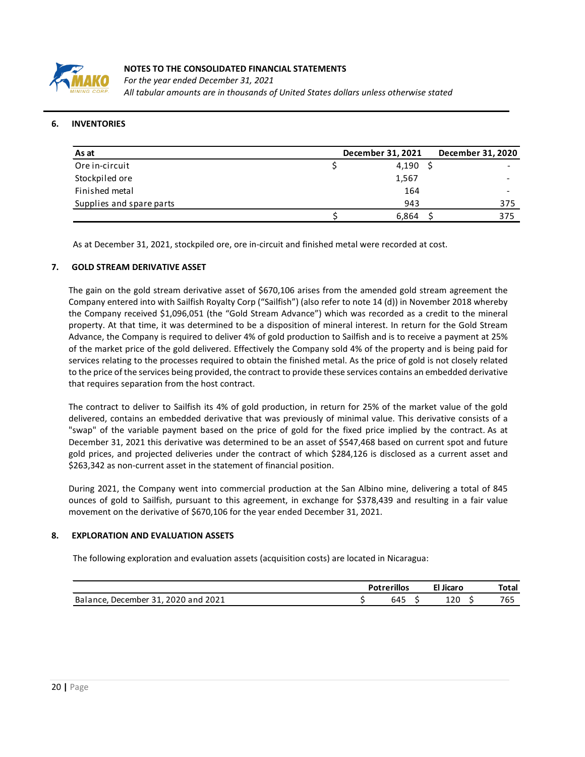

*For the year ended December 31, 2021 All tabular amounts are in thousands of United States dollars unless otherwise stated*

#### **6. INVENTORIES**

| As at                    | December 31, 2021 | December 31, 2020 |
|--------------------------|-------------------|-------------------|
| Ore in-circuit           | 4,190             |                   |
| Stockpiled ore           | 1,567             |                   |
| Finished metal           | 164               |                   |
| Supplies and spare parts | 943               | 375               |
|                          | 6,864             | 375               |

As at December 31, 2021, stockpiled ore, ore in-circuit and finished metal were recorded at cost.

#### **7. GOLD STREAM DERIVATIVE ASSET**

The gain on the gold stream derivative asset of \$670,106 arises from the amended gold stream agreement the Company entered into with Sailfish Royalty Corp ("Sailfish") (also refer to note 14 (d)) in November 2018 whereby the Company received \$1,096,051 (the "Gold Stream Advance") which was recorded as a credit to the mineral property. At that time, it was determined to be a disposition of mineral interest. In return for the Gold Stream Advance, the Company is required to deliver 4% of gold production to Sailfish and is to receive a payment at 25% of the market price of the gold delivered. Effectively the Company sold 4% of the property and is being paid for services relating to the processes required to obtain the finished metal. As the price of gold is not closely related to the price of the services being provided, the contract to provide these services contains an embedded derivative that requires separation from the host contract.

The contract to deliver to Sailfish its 4% of gold production, in return for 25% of the market value of the gold delivered, contains an embedded derivative that was previously of minimal value. This derivative consists of a "swap" of the variable payment based on the price of gold for the fixed price implied by the contract. As at December 31, 2021 this derivative was determined to be an asset of \$547,468 based on current spot and future gold prices, and projected deliveries under the contract of which \$284,126 is disclosed as a current asset and \$263,342 as non-current asset in the statement of financial position.

During 2021, the Company went into commercial production at the San Albino mine, delivering a total of 845 ounces of gold to Sailfish, pursuant to this agreement, in exchange for \$378,439 and resulting in a fair value movement on the derivative of \$670,106 for the year ended December 31, 2021.

#### **8. EXPLORATION AND EVALUATION ASSETS**

The following exploration and evaluation assets (acquisition costs) are located in Nicaragua:

|                                                               | Potrerillos<br>Jicaro |                   |     |     | Total |
|---------------------------------------------------------------|-----------------------|-------------------|-----|-----|-------|
| 2020 and<br>'2021<br>31<br>Balance.<br>December<br><u>Ji.</u> |                       | <b>CAF</b><br>645 | . . | 120 | 765   |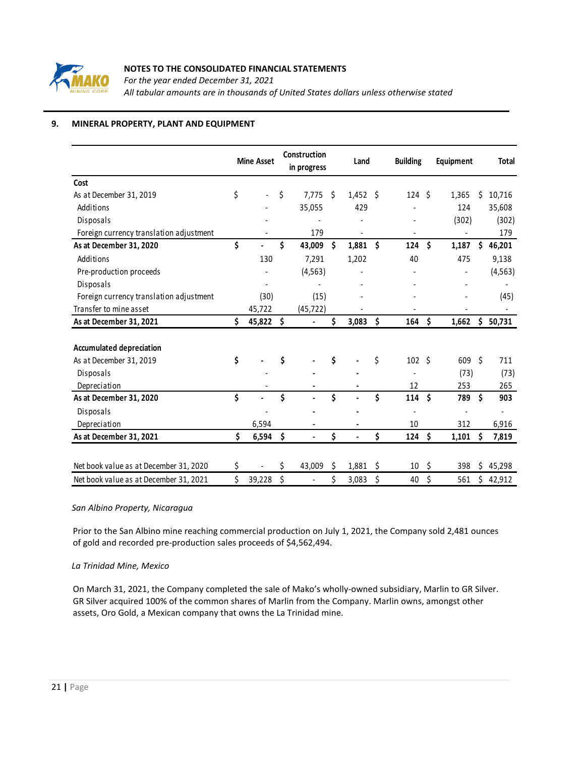

*For the year ended December 31, 2021 All tabular amounts are in thousands of United States dollars unless otherwise stated*

# **9. MINERAL PROPERTY, PLANT AND EQUIPMENT**

|                                         |    | <b>Mine Asset</b> |      | Construction<br>in progress |    | Land       |    | <b>Building</b>   | Equipment        |     | <b>Total</b> |
|-----------------------------------------|----|-------------------|------|-----------------------------|----|------------|----|-------------------|------------------|-----|--------------|
| Cost                                    |    |                   |      |                             |    |            |    |                   |                  |     |              |
| As at December 31, 2019                 | \$ |                   | \$   | 7.775                       | Ŝ. | $1,452$ \$ |    | 124S              | 1,365            | Ś   | 10,716       |
| Additions                               |    |                   |      | 35,055                      |    | 429        |    |                   | 124              |     | 35,608       |
| Disposals                               |    |                   |      |                             |    |            |    |                   | (302)            |     | (302)        |
| Foreign currency translation adjustment |    |                   |      | 179                         |    |            |    |                   |                  |     | 179          |
| As at December 31, 2020                 | \$ |                   | \$   | 43,009                      | \$ | 1,881      | \$ | 124               | \$<br>1,187      | Ś   | 46,201       |
| Additions                               |    | 130               |      | 7,291                       |    | 1,202      |    | 40                | 475              |     | 9,138        |
| Pre-production proceeds                 |    |                   |      | (4, 563)                    |    |            |    |                   |                  |     | (4, 563)     |
| Disposals                               |    |                   |      |                             |    |            |    |                   |                  |     |              |
| Foreign currency translation adjustment |    | (30)              |      | (15)                        |    |            |    |                   |                  |     | (45)         |
| Transfer to mine asset                  |    | 45,722            |      | (45, 722)                   |    |            |    |                   |                  |     |              |
| As at December 31, 2021                 | Ś. | 45,822            | - \$ |                             | \$ | 3,083      | \$ | 164               | \$<br>1,662      | \$  | 50,731       |
|                                         |    |                   |      |                             |    |            |    |                   |                  |     |              |
| <b>Accumulated depreciation</b>         |    |                   |      |                             |    |            |    |                   |                  |     |              |
| As at December 31, 2019                 | \$ |                   | \$   |                             | \$ |            | \$ | 102 <sup>5</sup>  | 609 <sup>5</sup> |     | 711          |
| Disposals                               |    |                   |      |                             |    |            |    |                   | (73)             |     | (73)         |
| Depreciation                            |    |                   |      |                             |    |            |    | 12                | 253              |     | 265          |
| As at December 31, 2020                 | \$ |                   | \$   |                             | \$ |            | Ś  | 114               | \$<br>789        | Ś.  | 903          |
| Disposals                               |    |                   |      |                             |    |            |    |                   |                  |     |              |
| Depreciation                            |    | 6,594             |      |                             |    |            |    | 10                | 312              |     | 6,916        |
| As at December 31, 2021                 | \$ | 6,594             | \$   |                             | \$ |            | \$ | $124 \; \text{$}$ | 1,101            | \$  | 7,819        |
|                                         |    |                   |      |                             |    |            |    |                   |                  |     |              |
| Net book value as at December 31, 2020  | \$ |                   | Ś.   | 43,009                      | \$ | 1,881      | Ŝ. | 10                | \$<br>398        | Ś.  | 45,298       |
| Net book value as at December 31, 2021  | \$ | 39,228            | \$   | $\overline{\phantom{a}}$    | \$ | 3,083      | \$ | 40                | \$<br>561        | \$. | 42,912       |

## *San Albino Property, Nicaragua*

Prior to the San Albino mine reaching commercial production on July 1, 2021, the Company sold 2,481 ounces of gold and recorded pre-production sales proceeds of \$4,562,494.

## *La Trinidad Mine, Mexico*

On March 31, 2021, the Company completed the sale of Mako's wholly-owned subsidiary, Marlin to GR Silver. GR Silver acquired 100% of the common shares of Marlin from the Company. Marlin owns, amongst other assets, Oro Gold, a Mexican company that owns the La Trinidad mine.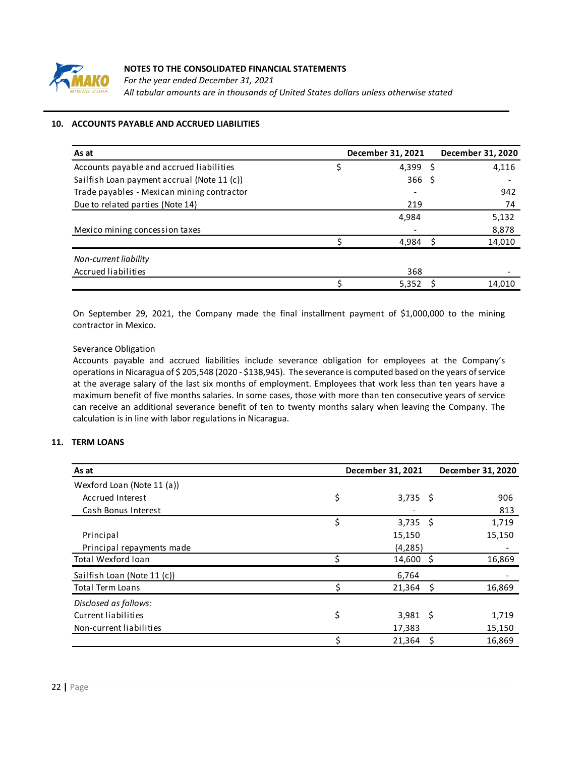

*For the year ended December 31, 2021 All tabular amounts are in thousands of United States dollars unless otherwise stated*

# **10. ACCOUNTS PAYABLE AND ACCRUED LIABILITIES**

| As at                                       | December 31, 2021 | December 31, 2020 |
|---------------------------------------------|-------------------|-------------------|
| Accounts payable and accrued liabilities    | 4,399 \$          | 4,116             |
| Sailfish Loan payment accrual (Note 11 (c)) | 366 <sup>5</sup>  |                   |
| Trade payables - Mexican mining contractor  |                   | 942               |
| Due to related parties (Note 14)            | 219               | 74                |
|                                             | 4,984             | 5,132             |
| Mexico mining concession taxes              |                   | 8,878             |
|                                             | 4.984             | 14,010            |
| Non-current liability                       |                   |                   |
| Accrued liabilities                         | 368               |                   |
|                                             | 5,352             | 14.010            |

On September 29, 2021, the Company made the final installment payment of \$1,000,000 to the mining contractor in Mexico.

## Severance Obligation

Accounts payable and accrued liabilities include severance obligation for employees at the Company's operationsin Nicaragua of \$ 205,548 (2020 - \$138,945). The severance is computed based on the years of service at the average salary of the last six months of employment. Employees that work less than ten years have a maximum benefit of five months salaries. In some cases, those with more than ten consecutive years of service can receive an additional severance benefit of ten to twenty months salary when leaving the Company. The calculation is in line with labor regulations in Nicaragua.

## **11. TERM LOANS**

| As at                       | December 31, 2021 |            | December 31, 2020 |        |  |
|-----------------------------|-------------------|------------|-------------------|--------|--|
| Wexford Loan (Note 11 (a))  |                   |            |                   |        |  |
| Accrued Interest            | \$                | $3,735$ \$ |                   | 906    |  |
| Cash Bonus Interest         |                   |            |                   | 813    |  |
|                             | \$                | $3,735$ \$ |                   | 1,719  |  |
| Principal                   |                   | 15,150     |                   | 15,150 |  |
| Principal repayments made   |                   | (4, 285)   |                   |        |  |
| <b>Total Wexford loan</b>   | Ś                 | 14,600 \$  |                   | 16,869 |  |
| Sailfish Loan (Note 11 (c)) |                   | 6,764      |                   |        |  |
| <b>Total Term Loans</b>     | Ś                 | 21,364     | - S               | 16,869 |  |
| Disclosed as follows:       |                   |            |                   |        |  |
| Current liabilities         | \$                | $3,981$ \$ |                   | 1,719  |  |
| Non-current liabilities     |                   | 17,383     |                   | 15,150 |  |
|                             |                   | 21,364     | - \$              | 16,869 |  |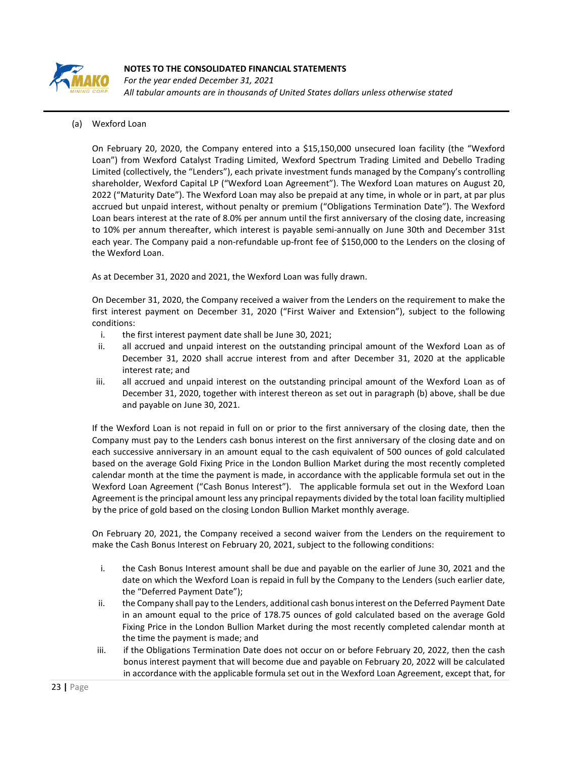

*For the year ended December 31, 2021 All tabular amounts are in thousands of United States dollars unless otherwise stated*

# (a) Wexford Loan

On February 20, 2020, the Company entered into a \$15,150,000 unsecured loan facility (the "Wexford Loan") from Wexford Catalyst Trading Limited, Wexford Spectrum Trading Limited and Debello Trading Limited (collectively, the "Lenders"), each private investment funds managed by the Company's controlling shareholder, Wexford Capital LP ("Wexford Loan Agreement"). The Wexford Loan matures on August 20, 2022 ("Maturity Date"). The Wexford Loan may also be prepaid at any time, in whole or in part, at par plus accrued but unpaid interest, without penalty or premium ("Obligations Termination Date"). The Wexford Loan bears interest at the rate of 8.0% per annum until the first anniversary of the closing date, increasing to 10% per annum thereafter, which interest is payable semi-annually on June 30th and December 31st each year. The Company paid a non-refundable up-front fee of \$150,000 to the Lenders on the closing of the Wexford Loan.

As at December 31, 2020 and 2021, the Wexford Loan was fully drawn.

On December 31, 2020, the Company received a waiver from the Lenders on the requirement to make the first interest payment on December 31, 2020 ("First Waiver and Extension"), subject to the following conditions:

- i. the first interest payment date shall be June 30, 2021;
- ii. all accrued and unpaid interest on the outstanding principal amount of the Wexford Loan as of December 31, 2020 shall accrue interest from and after December 31, 2020 at the applicable interest rate; and
- iii. all accrued and unpaid interest on the outstanding principal amount of the Wexford Loan as of December 31, 2020, together with interest thereon as set out in paragraph (b) above, shall be due and payable on June 30, 2021.

If the Wexford Loan is not repaid in full on or prior to the first anniversary of the closing date, then the Company must pay to the Lenders cash bonus interest on the first anniversary of the closing date and on each successive anniversary in an amount equal to the cash equivalent of 500 ounces of gold calculated based on the average Gold Fixing Price in the London Bullion Market during the most recently completed calendar month at the time the payment is made, in accordance with the applicable formula set out in the Wexford Loan Agreement ("Cash Bonus Interest"). The applicable formula set out in the Wexford Loan Agreement is the principal amount less any principal repayments divided by the total loan facility multiplied by the price of gold based on the closing London Bullion Market monthly average.

On February 20, 2021, the Company received a second waiver from the Lenders on the requirement to make the Cash Bonus Interest on February 20, 2021, subject to the following conditions:

- i. the Cash Bonus Interest amount shall be due and payable on the earlier of June 30, 2021 and the date on which the Wexford Loan is repaid in full by the Company to the Lenders (such earlier date, the "Deferred Payment Date");
- ii. the Company shall pay to the Lenders, additional cash bonus interest on the Deferred Payment Date in an amount equal to the price of 178.75 ounces of gold calculated based on the average Gold Fixing Price in the London Bullion Market during the most recently completed calendar month at the time the payment is made; and
- iii. if the Obligations Termination Date does not occur on or before February 20, 2022, then the cash bonus interest payment that will become due and payable on February 20, 2022 will be calculated in accordance with the applicable formula set out in the Wexford Loan Agreement, except that, for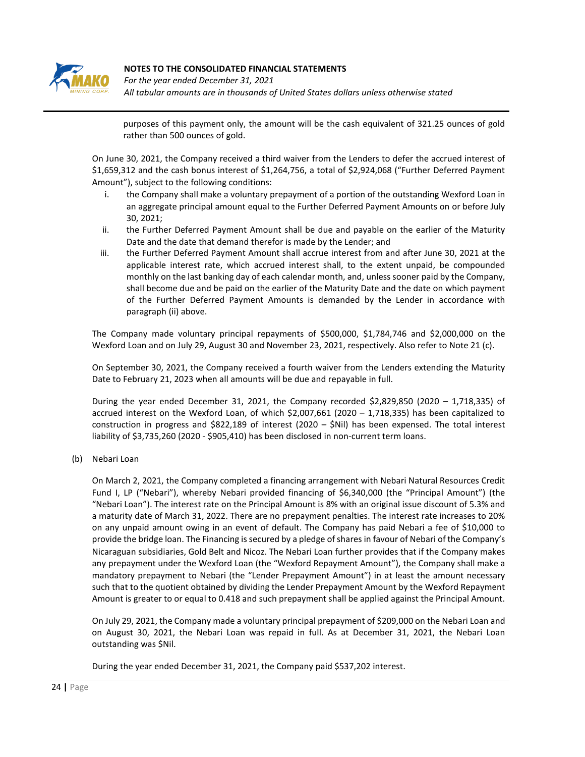

*For the year ended December 31, 2021 All tabular amounts are in thousands of United States dollars unless otherwise stated*

purposes of this payment only, the amount will be the cash equivalent of 321.25 ounces of gold rather than 500 ounces of gold.

On June 30, 2021, the Company received a third waiver from the Lenders to defer the accrued interest of \$1,659,312 and the cash bonus interest of \$1,264,756, a total of \$2,924,068 ("Further Deferred Payment Amount"), subject to the following conditions:

- i. the Company shall make a voluntary prepayment of a portion of the outstanding Wexford Loan in an aggregate principal amount equal to the Further Deferred Payment Amounts on or before July 30, 2021;
- ii. the Further Deferred Payment Amount shall be due and payable on the earlier of the Maturity Date and the date that demand therefor is made by the Lender; and
- iii. the Further Deferred Payment Amount shall accrue interest from and after June 30, 2021 at the applicable interest rate, which accrued interest shall, to the extent unpaid, be compounded monthly on the last banking day of each calendar month, and, unless sooner paid by the Company, shall become due and be paid on the earlier of the Maturity Date and the date on which payment of the Further Deferred Payment Amounts is demanded by the Lender in accordance with paragraph (ii) above.

The Company made voluntary principal repayments of \$500,000, \$1,784,746 and \$2,000,000 on the Wexford Loan and on July 29, August 30 and November 23, 2021, respectively. Also refer to Note 21 (c).

On September 30, 2021, the Company received a fourth waiver from the Lenders extending the Maturity Date to February 21, 2023 when all amounts will be due and repayable in full.

During the year ended December 31, 2021, the Company recorded \$2,829,850 (2020 – 1,718,335) of accrued interest on the Wexford Loan, of which \$2,007,661 (2020 – 1,718,335) has been capitalized to construction in progress and \$822,189 of interest (2020 – \$Nil) has been expensed. The total interest liability of \$3,735,260 (2020 - \$905,410) has been disclosed in non-current term loans.

(b) Nebari Loan

On March 2, 2021, the Company completed a financing arrangement with Nebari Natural Resources Credit Fund I, LP ("Nebari"), whereby Nebari provided financing of \$6,340,000 (the "Principal Amount") (the "Nebari Loan"). The interest rate on the Principal Amount is 8% with an original issue discount of 5.3% and a maturity date of March 31, 2022. There are no prepayment penalties. The interest rate increases to 20% on any unpaid amount owing in an event of default. The Company has paid Nebari a fee of \$10,000 to provide the bridge loan. The Financing is secured by a pledge of shares in favour of Nebari of the Company's Nicaraguan subsidiaries, Gold Belt and Nicoz. The Nebari Loan further provides that if the Company makes any prepayment under the Wexford Loan (the "Wexford Repayment Amount"), the Company shall make a mandatory prepayment to Nebari (the "Lender Prepayment Amount") in at least the amount necessary such that to the quotient obtained by dividing the Lender Prepayment Amount by the Wexford Repayment Amount is greater to or equal to 0.418 and such prepayment shall be applied against the Principal Amount.

On July 29, 2021, the Company made a voluntary principal prepayment of \$209,000 on the Nebari Loan and on August 30, 2021, the Nebari Loan was repaid in full. As at December 31, 2021, the Nebari Loan outstanding was \$Nil.

During the year ended December 31, 2021, the Company paid \$537,202 interest.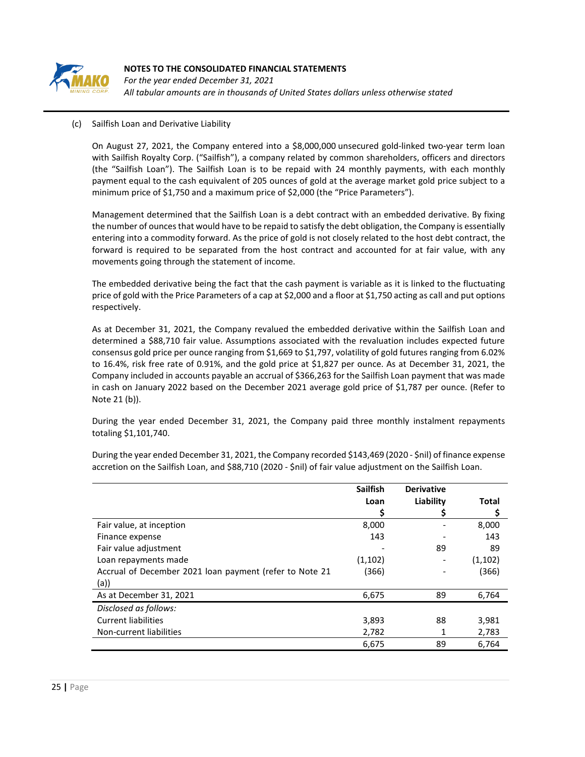

*For the year ended December 31, 2021 All tabular amounts are in thousands of United States dollars unless otherwise stated*

## (c) Sailfish Loan and Derivative Liability

On August 27, 2021, the Company entered into a \$8,000,000 unsecured gold-linked two-year term loan with Sailfish Royalty Corp. ("Sailfish"), a company related by common shareholders, officers and directors (the "Sailfish Loan"). The Sailfish Loan is to be repaid with 24 monthly payments, with each monthly payment equal to the cash equivalent of 205 ounces of gold at the average market gold price subject to a minimum price of \$1,750 and a maximum price of \$2,000 (the "Price Parameters").

Management determined that the Sailfish Loan is a debt contract with an embedded derivative. By fixing the number of ounces that would have to be repaid to satisfy the debt obligation, the Company is essentially entering into a commodity forward. As the price of gold is not closely related to the host debt contract, the forward is required to be separated from the host contract and accounted for at fair value, with any movements going through the statement of income.

The embedded derivative being the fact that the cash payment is variable as it is linked to the fluctuating price of gold with the Price Parameters of a cap at \$2,000 and a floor at \$1,750 acting as call and put options respectively.

As at December 31, 2021, the Company revalued the embedded derivative within the Sailfish Loan and determined a \$88,710 fair value. Assumptions associated with the revaluation includes expected future consensus gold price per ounce ranging from \$1,669 to \$1,797, volatility of gold futures ranging from 6.02% to 16.4%, risk free rate of 0.91%, and the gold price at \$1,827 per ounce. As at December 31, 2021, the Company included in accounts payable an accrual of \$366,263 for the Sailfish Loan payment that was made in cash on January 2022 based on the December 2021 average gold price of \$1,787 per ounce. (Refer to Note 21 (b)).

During the year ended December 31, 2021, the Company paid three monthly instalment repayments totaling \$1,101,740.

During the year ended December 31, 2021, the Company recorded \$143,469 (2020 - \$nil) of finance expense accretion on the Sailfish Loan, and \$88,710 (2020 - \$nil) of fair value adjustment on the Sailfish Loan.

|                                                         | <b>Sailfish</b> | <b>Derivative</b> |         |
|---------------------------------------------------------|-----------------|-------------------|---------|
|                                                         | Loan            | Liability         | Total   |
|                                                         |                 |                   | Ş       |
| Fair value, at inception                                | 8,000           |                   | 8,000   |
| Finance expense                                         | 143             |                   | 143     |
| Fair value adjustment                                   |                 | 89                | 89      |
| Loan repayments made                                    | (1, 102)        |                   | (1,102) |
| Accrual of December 2021 loan payment (refer to Note 21 | (366)           |                   | (366)   |
| (a)                                                     |                 |                   |         |
| As at December 31, 2021                                 | 6,675           | 89                | 6,764   |
| Disclosed as follows:                                   |                 |                   |         |
| <b>Current liabilities</b>                              | 3,893           | 88                | 3,981   |
| Non-current liabilities                                 | 2,782           | 1                 | 2,783   |
|                                                         | 6,675           | 89                | 6,764   |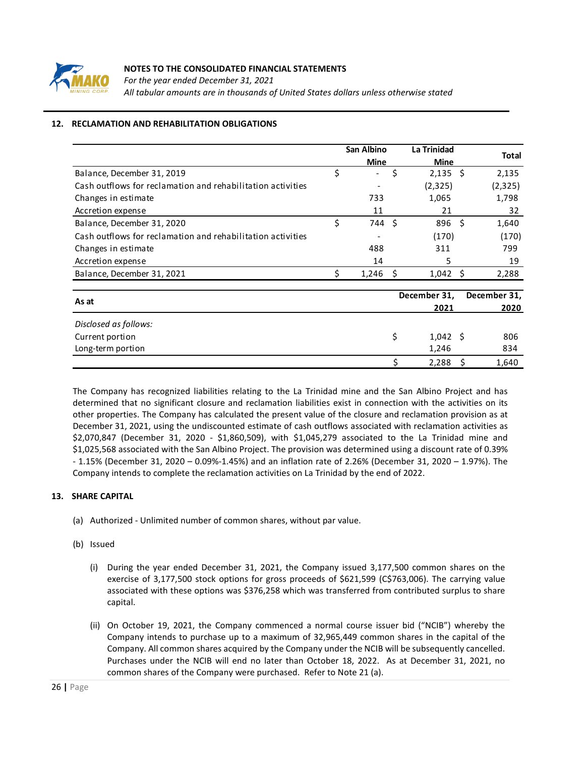

*For the year ended December 31, 2021 All tabular amounts are in thousands of United States dollars unless otherwise stated*

# **12. RECLAMATION AND REHABILITATION OBLIGATIONS**

|                                                             | <b>San Albino</b> |                          |    | <b>La Trinidad</b> |     |              |  |
|-------------------------------------------------------------|-------------------|--------------------------|----|--------------------|-----|--------------|--|
|                                                             |                   | <b>Mine</b>              |    | <b>Mine</b>        |     | <b>Total</b> |  |
| Balance, December 31, 2019                                  | \$                | $\overline{\phantom{0}}$ | \$ | $2,135$ \$         |     | 2,135        |  |
| Cash outflows for reclamation and rehabilitation activities |                   |                          |    | (2,325)            |     | (2,325)      |  |
| Changes in estimate                                         |                   | 733                      |    | 1,065              |     | 1,798        |  |
| Accretion expense                                           |                   | 11                       |    | 21                 |     | 32           |  |
| Balance, December 31, 2020                                  | \$                | 744                      | Ś. | 896                | Š.  | 1,640        |  |
| Cash outflows for reclamation and rehabilitation activities |                   |                          |    | (170)              |     | (170)        |  |
| Changes in estimate                                         |                   | 488                      |    | 311                |     | 799          |  |
| Accretion expense                                           |                   | 14                       |    | 5                  |     | 19           |  |
| Balance, December 31, 2021                                  | Ś                 | 1,246                    | S  | $1,042 \; \;$ \$   |     | 2,288        |  |
| As at                                                       |                   |                          |    | December 31,       |     | December 31, |  |
|                                                             |                   |                          |    | 2021               |     | 2020         |  |
| Disclosed as follows:                                       |                   |                          |    |                    |     |              |  |
| Current portion                                             |                   |                          | \$ | $1,042 \quad $$    |     | 806          |  |
| Long-term portion                                           |                   |                          |    | 1,246              |     | 834          |  |
|                                                             |                   |                          | Ś  | 2,288              | - S | 1,640        |  |

The Company has recognized liabilities relating to the La Trinidad mine and the San Albino Project and has determined that no significant closure and reclamation liabilities exist in connection with the activities on its other properties. The Company has calculated the present value of the closure and reclamation provision as at December 31, 2021, using the undiscounted estimate of cash outflows associated with reclamation activities as \$2,070,847 (December 31, 2020 - \$1,860,509), with \$1,045,279 associated to the La Trinidad mine and \$1,025,568 associated with the San Albino Project. The provision was determined using a discount rate of 0.39% - 1.15% (December 31, 2020 – 0.09%-1.45%) and an inflation rate of 2.26% (December 31, 2020 – 1.97%). The Company intends to complete the reclamation activities on La Trinidad by the end of 2022.

# **13. SHARE CAPITAL**

- (a) Authorized Unlimited number of common shares, without par value.
- (b) Issued
	- (i) During the year ended December 31, 2021, the Company issued 3,177,500 common shares on the exercise of 3,177,500 stock options for gross proceeds of \$621,599 (C\$763,006). The carrying value associated with these options was \$376,258 which was transferred from contributed surplus to share capital.
	- (ii) On October 19, 2021, the Company commenced a normal course issuer bid ("NCIB") whereby the Company intends to purchase up to a maximum of 32,965,449 common shares in the capital of the Company. All common shares acquired by the Company under the NCIB will be subsequently cancelled. Purchases under the NCIB will end no later than October 18, 2022. As at December 31, 2021, no common shares of the Company were purchased. Refer to Note 21 (a).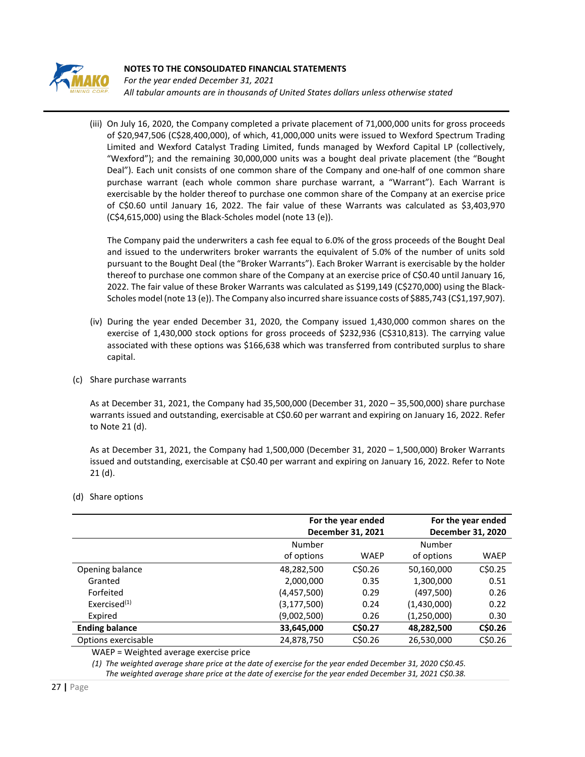

*For the year ended December 31, 2021 All tabular amounts are in thousands of United States dollars unless otherwise stated*

(iii) On July 16, 2020, the Company completed a private placement of 71,000,000 units for gross proceeds of \$20,947,506 (C\$28,400,000), of which, 41,000,000 units were issued to Wexford Spectrum Trading Limited and Wexford Catalyst Trading Limited, funds managed by Wexford Capital LP (collectively, "Wexford"); and the remaining 30,000,000 units was a bought deal private placement (the "Bought Deal"). Each unit consists of one common share of the Company and one-half of one common share purchase warrant (each whole common share purchase warrant, a "Warrant"). Each Warrant is exercisable by the holder thereof to purchase one common share of the Company at an exercise price of C\$0.60 until January 16, 2022. The fair value of these Warrants was calculated as \$3,403,970 (C\$4,615,000) using the Black-Scholes model (note 13 (e)).

The Company paid the underwriters a cash fee equal to 6.0% of the gross proceeds of the Bought Deal and issued to the underwriters broker warrants the equivalent of 5.0% of the number of units sold pursuant to the Bought Deal (the "Broker Warrants"). Each Broker Warrant is exercisable by the holder thereof to purchase one common share of the Company at an exercise price of C\$0.40 until January 16, 2022. The fair value of these Broker Warrants was calculated as \$199,149 (C\$270,000) using the Black-Scholes model (note 13 (e)). The Company also incurred share issuance costs of \$885,743 (C\$1,197,907).

- (iv) During the year ended December 31, 2020, the Company issued 1,430,000 common shares on the exercise of 1,430,000 stock options for gross proceeds of \$232,936 (C\$310,813). The carrying value associated with these options was \$166,638 which was transferred from contributed surplus to share capital.
- (c) Share purchase warrants

As at December 31, 2021, the Company had 35,500,000 (December 31, 2020 – 35,500,000) share purchase warrants issued and outstanding, exercisable at C\$0.60 per warrant and expiring on January 16, 2022. Refer to Note 21 (d).

As at December 31, 2021, the Company had 1,500,000 (December 31, 2020 – 1,500,000) Broker Warrants issued and outstanding, exercisable at C\$0.40 per warrant and expiring on January 16, 2022. Refer to Note 21 (d).

- **For the year ended December 31, 2021 For the year ended December 31, 2020** Number of options WAEP Number of options WAEP Opening balance 48,282,500 C\$0.26 50,160,000 C\$0.25 Granted 2,000,000 0.35 1,300,000 0.51 Forfeited (4,457,500) 0.29 (497,500) 0.26 Exercised(1) (3,177,500) 0.24 (1,430,000) 0.22 Expired (9,002,500) 0.26 (1,250,000) 0.30 **Ending balance 33,645,000 C\$0.27 48,282,500 C\$0.26** Options exercisable 24,878,750 C\$0.26 26,530,000 C\$0.26
- (d) Share options

WAEP = Weighted average exercise price

*(1) The weighted average share price at the date of exercise for the year ended December 31, 2020 C\$0.45. The weighted average share price at the date of exercise for the year ended December 31, 2021 C\$0.38.*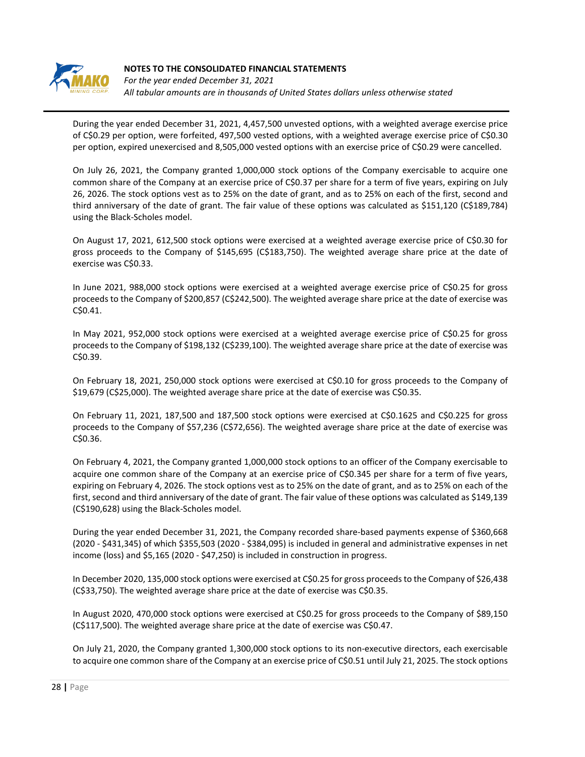

*For the year ended December 31, 2021 All tabular amounts are in thousands of United States dollars unless otherwise stated*

During the year ended December 31, 2021, 4,457,500 unvested options, with a weighted average exercise price of C\$0.29 per option, were forfeited, 497,500 vested options, with a weighted average exercise price of C\$0.30 per option, expired unexercised and 8,505,000 vested options with an exercise price of C\$0.29 were cancelled.

On July 26, 2021, the Company granted 1,000,000 stock options of the Company exercisable to acquire one common share of the Company at an exercise price of C\$0.37 per share for a term of five years, expiring on July 26, 2026. The stock options vest as to 25% on the date of grant, and as to 25% on each of the first, second and third anniversary of the date of grant. The fair value of these options was calculated as \$151,120 (C\$189,784) using the Black-Scholes model.

On August 17, 2021, 612,500 stock options were exercised at a weighted average exercise price of C\$0.30 for gross proceeds to the Company of \$145,695 (C\$183,750). The weighted average share price at the date of exercise was C\$0.33.

In June 2021, 988,000 stock options were exercised at a weighted average exercise price of C\$0.25 for gross proceeds to the Company of \$200,857 (C\$242,500). The weighted average share price at the date of exercise was C\$0.41.

In May 2021, 952,000 stock options were exercised at a weighted average exercise price of C\$0.25 for gross proceeds to the Company of \$198,132 (C\$239,100). The weighted average share price at the date of exercise was C\$0.39.

On February 18, 2021, 250,000 stock options were exercised at C\$0.10 for gross proceeds to the Company of \$19,679 (C\$25,000). The weighted average share price at the date of exercise was C\$0.35.

On February 11, 2021, 187,500 and 187,500 stock options were exercised at C\$0.1625 and C\$0.225 for gross proceeds to the Company of \$57,236 (C\$72,656). The weighted average share price at the date of exercise was C\$0.36.

On February 4, 2021, the Company granted 1,000,000 stock options to an officer of the Company exercisable to acquire one common share of the Company at an exercise price of C\$0.345 per share for a term of five years, expiring on February 4, 2026. The stock options vest as to 25% on the date of grant, and as to 25% on each of the first, second and third anniversary of the date of grant. The fair value of these options was calculated as \$149,139 (C\$190,628) using the Black-Scholes model.

During the year ended December 31, 2021, the Company recorded share-based payments expense of \$360,668 (2020 - \$431,345) of which \$355,503 (2020 - \$384,095) is included in general and administrative expenses in net income (loss) and \$5,165 (2020 - \$47,250) is included in construction in progress.

In December 2020, 135,000 stock options were exercised at C\$0.25 for gross proceeds to the Company of \$26,438 (C\$33,750). The weighted average share price at the date of exercise was C\$0.35.

In August 2020, 470,000 stock options were exercised at C\$0.25 for gross proceeds to the Company of \$89,150 (C\$117,500). The weighted average share price at the date of exercise was C\$0.47.

On July 21, 2020, the Company granted 1,300,000 stock options to its non-executive directors, each exercisable to acquire one common share of the Company at an exercise price of C\$0.51 until July 21, 2025. The stock options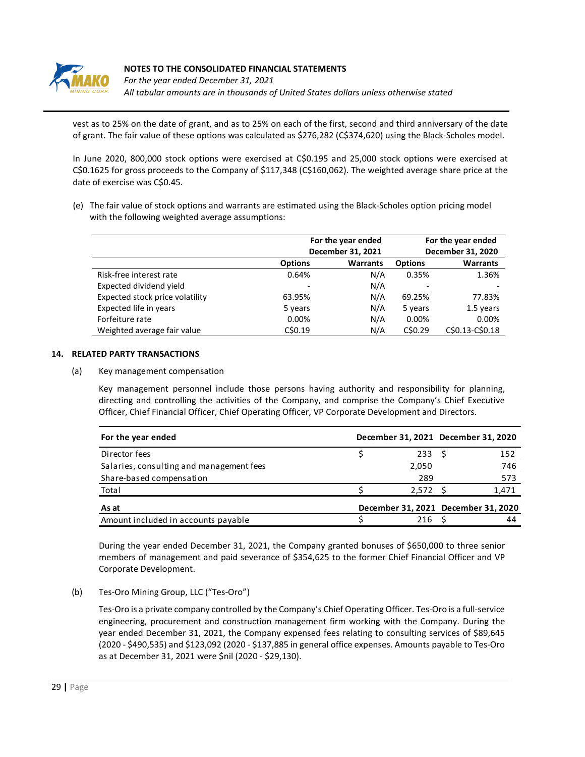

*For the year ended December 31, 2021 All tabular amounts are in thousands of United States dollars unless otherwise stated*

vest as to 25% on the date of grant, and as to 25% on each of the first, second and third anniversary of the date of grant. The fair value of these options was calculated as \$276,282 (C\$374,620) using the Black-Scholes model.

In June 2020, 800,000 stock options were exercised at C\$0.195 and 25,000 stock options were exercised at C\$0.1625 for gross proceeds to the Company of \$117,348 (C\$160,062). The weighted average share price at the date of exercise was C\$0.45.

(e) The fair value of stock options and warrants are estimated using the Black-Scholes option pricing model with the following weighted average assumptions:

|                                 |                | For the year ended<br>December 31, 2021 | For the year ended<br>December 31, 2020 |                 |  |
|---------------------------------|----------------|-----------------------------------------|-----------------------------------------|-----------------|--|
|                                 | <b>Options</b> | <b>Warrants</b>                         | <b>Options</b>                          | <b>Warrants</b> |  |
| Risk-free interest rate         | 0.64%          | N/A                                     | 0.35%                                   | 1.36%           |  |
| Expected dividend yield         |                | N/A                                     |                                         |                 |  |
| Expected stock price volatility | 63.95%         | N/A                                     | 69.25%                                  | 77.83%          |  |
| Expected life in years          | 5 years        | N/A                                     | 5 years                                 | 1.5 years       |  |
| Forfeiture rate                 | 0.00%          | N/A                                     | 0.00%                                   | 0.00%           |  |
| Weighted average fair value     | C\$0.19        | N/A                                     | C\$0.29                                 | C\$0.13-C\$0.18 |  |

#### **14. RELATED PARTY TRANSACTIONS**

(a) Key management compensation

Key management personnel include those persons having authority and responsibility for planning, directing and controlling the activities of the Company, and comprise the Company's Chief Executive Officer, Chief Financial Officer, Chief Operating Officer, VP Corporate Development and Directors.

| For the year ended                       |       | December 31, 2021 December 31, 2020 |
|------------------------------------------|-------|-------------------------------------|
| Director fees                            |       | 233 <sub>5</sub><br>152             |
| Salaries, consulting and management fees | 2,050 | 746                                 |
| Share-based compensation                 | 289   | 573                                 |
| Total                                    |       | $2,572$ \$<br>1,471                 |
| As at                                    |       | December 31, 2021 December 31, 2020 |
| Amount included in accounts payable      | 216   | 44                                  |

During the year ended December 31, 2021, the Company granted bonuses of \$650,000 to three senior members of management and paid severance of \$354,625 to the former Chief Financial Officer and VP Corporate Development.

(b) Tes-Oro Mining Group, LLC ("Tes-Oro")

Tes-Oro is a private company controlled by the Company's Chief Operating Officer. Tes-Oro is a full-service engineering, procurement and construction management firm working with the Company. During the year ended December 31, 2021, the Company expensed fees relating to consulting services of \$89,645 (2020 - \$490,535) and \$123,092 (2020 - \$137,885 in general office expenses. Amounts payable to Tes-Oro as at December 31, 2021 were \$nil (2020 - \$29,130).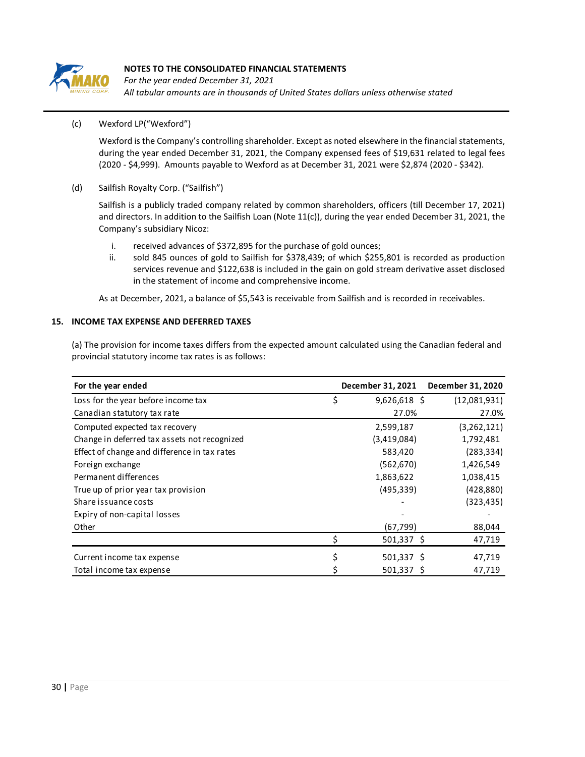

*For the year ended December 31, 2021 All tabular amounts are in thousands of United States dollars unless otherwise stated*

## (c) Wexford LP("Wexford")

Wexford is the Company's controlling shareholder. Except as noted elsewhere in the financial statements, during the year ended December 31, 2021, the Company expensed fees of \$19,631 related to legal fees (2020 - \$4,999). Amounts payable to Wexford as at December 31, 2021 were \$2,874 (2020 - \$342).

#### (d) Sailfish Royalty Corp. ("Sailfish")

Sailfish is a publicly traded company related by common shareholders, officers (till December 17, 2021) and directors. In addition to the Sailfish Loan (Note 11(c)), during the year ended December 31, 2021, the Company's subsidiary Nicoz:

- i. received advances of \$372,895 for the purchase of gold ounces;
- ii. sold 845 ounces of gold to Sailfish for \$378,439; of which \$255,801 is recorded as production services revenue and \$122,638 is included in the gain on gold stream derivative asset disclosed in the statement of income and comprehensive income.

As at December, 2021, a balance of \$5,543 is receivable from Sailfish and is recorded in receivables.

## **15. INCOME TAX EXPENSE AND DEFERRED TAXES**

(a) The provision for income taxes differs from the expected amount calculated using the Canadian federal and provincial statutory income tax rates is as follows:

| For the year ended                           |   | December 31, 2021 | December 31, 2020 |
|----------------------------------------------|---|-------------------|-------------------|
| Loss for the year before income tax          | Ś | $9,626,618$ \$    | (12,081,931)      |
| Canadian statutory tax rate                  |   | 27.0%             | 27.0%             |
| Computed expected tax recovery               |   | 2,599,187         | (3,262,121)       |
| Change in deferred tax assets not recognized |   | (3,419,084)       | 1,792,481         |
| Effect of change and difference in tax rates |   | 583,420           | (283, 334)        |
| Foreign exchange                             |   | (562, 670)        | 1,426,549         |
| Permanent differences                        |   | 1,863,622         | 1,038,415         |
| True up of prior year tax provision          |   | (495, 339)        | (428, 880)        |
| Share issuance costs                         |   |                   | (323, 435)        |
| Expiry of non-capital losses                 |   |                   |                   |
| Other                                        |   | (67, 799)         | 88,044            |
|                                              |   | $501,337$ \$      | 47,719            |
| Current income tax expense                   |   | $501,337$ \$      | 47,719            |
| Total income tax expense                     |   | $501,337$ \$      | 47,719            |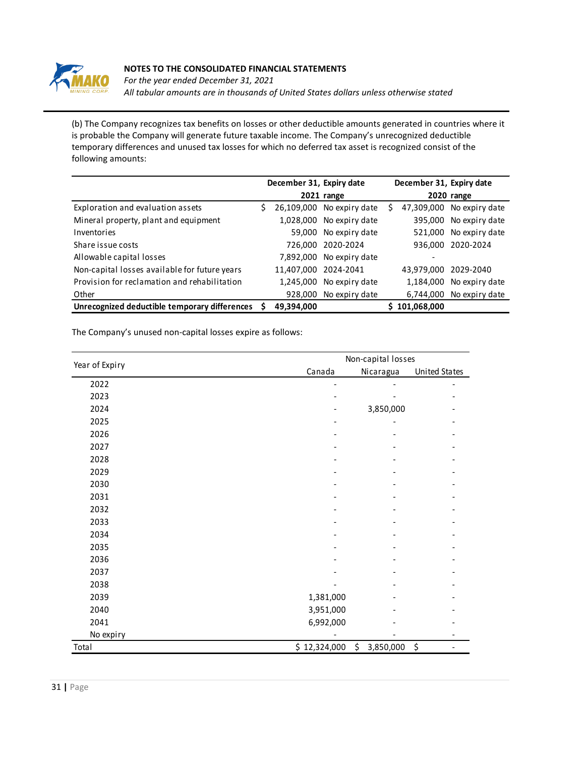

*For the year ended December 31, 2021 All tabular amounts are in thousands of United States dollars unless otherwise stated*

(b) The Company recognizes tax benefits on losses or other deductible amounts generated in countries where it is probable the Company will generate future taxable income. The Company's unrecognized deductible temporary differences and unused tax losses for which no deferred tax asset is recognized consist of the following amounts:

|                                               | December 31, Expiry date |            | December 31, Expiry date |  |             |                |
|-----------------------------------------------|--------------------------|------------|--------------------------|--|-------------|----------------|
|                                               |                          |            | 2021 range               |  |             | 2020 range     |
| Exploration and evaluation assets             |                          | 26,109,000 | No expiry date           |  | 47,309,000  | No expiry date |
| Mineral property, plant and equipment         |                          | 1,028,000  | No expiry date           |  | 395,000     | No expiry date |
| Inventories                                   |                          | 59,000     | No expiry date           |  | 521,000     | No expiry date |
| Share issue costs                             |                          | 726,000    | 2020-2024                |  | 936.000     | 2020-2024      |
| Allowable capital losses                      |                          | 7,892,000  | No expiry date           |  |             |                |
| Non-capital losses available for future years |                          | 11,407,000 | 2024-2041                |  | 43,979,000  | 2029-2040      |
| Provision for reclamation and rehabilitation  |                          | 1,245,000  | No expiry date           |  | 1,184,000   | No expiry date |
| Other                                         |                          | 928,000    | No expiry date           |  | 6,744,000   | No expiry date |
| Unrecognized deductible temporary differences |                          | 49,394,000 |                          |  | 101,068,000 |                |

The Company's unused non-capital losses expire as follows:

|                |              | Non-capital losses         |                    |  |  |  |  |
|----------------|--------------|----------------------------|--------------------|--|--|--|--|
| Year of Expiry | Canada       | Nicaragua                  | United States      |  |  |  |  |
| 2022           |              |                            |                    |  |  |  |  |
| 2023           |              |                            |                    |  |  |  |  |
| 2024           |              | 3,850,000                  |                    |  |  |  |  |
| 2025           |              |                            |                    |  |  |  |  |
| 2026           |              |                            |                    |  |  |  |  |
| 2027           |              |                            |                    |  |  |  |  |
| 2028           |              |                            |                    |  |  |  |  |
| 2029           |              |                            |                    |  |  |  |  |
| 2030           |              |                            |                    |  |  |  |  |
| 2031           |              |                            |                    |  |  |  |  |
| 2032           |              |                            |                    |  |  |  |  |
| 2033           |              |                            |                    |  |  |  |  |
| 2034           |              |                            |                    |  |  |  |  |
| 2035           |              |                            |                    |  |  |  |  |
| 2036           |              |                            |                    |  |  |  |  |
| 2037           |              |                            |                    |  |  |  |  |
| 2038           |              |                            |                    |  |  |  |  |
| 2039           | 1,381,000    |                            |                    |  |  |  |  |
| 2040           | 3,951,000    |                            |                    |  |  |  |  |
| 2041           | 6,992,000    |                            |                    |  |  |  |  |
| No expiry      |              |                            |                    |  |  |  |  |
| Total          | \$12,324,000 | $\frac{1}{2}$<br>3,850,000 | $\ddot{\varsigma}$ |  |  |  |  |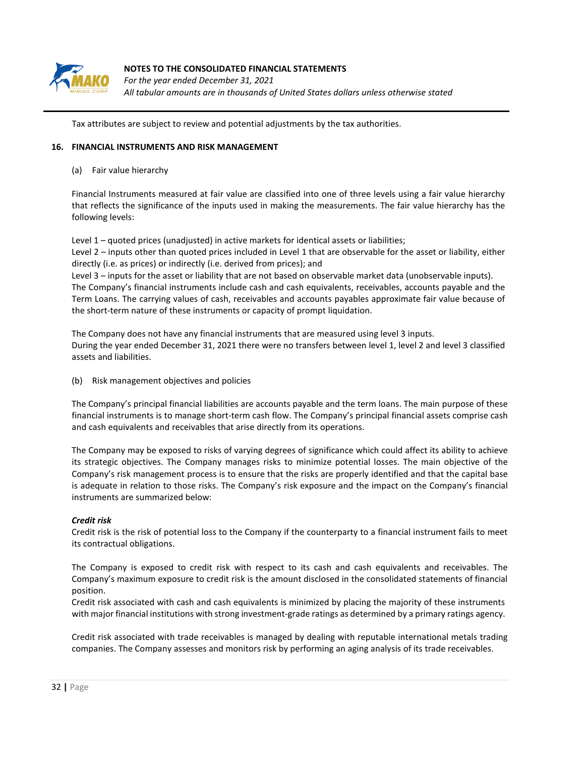

*For the year ended December 31, 2021 All tabular amounts are in thousands of United States dollars unless otherwise stated*

Tax attributes are subject to review and potential adjustments by the tax authorities.

#### **16. FINANCIAL INSTRUMENTS AND RISK MANAGEMENT**

(a) Fair value hierarchy

Financial Instruments measured at fair value are classified into one of three levels using a fair value hierarchy that reflects the significance of the inputs used in making the measurements. The fair value hierarchy has the following levels:

Level 1 – quoted prices (unadjusted) in active markets for identical assets or liabilities;

Level 2 – inputs other than quoted prices included in Level 1 that are observable for the asset or liability, either directly (i.e. as prices) or indirectly (i.e. derived from prices); and

Level 3 – inputs for the asset or liability that are not based on observable market data (unobservable inputs). The Company's financial instruments include cash and cash equivalents, receivables, accounts payable and the Term Loans. The carrying values of cash, receivables and accounts payables approximate fair value because of the short-term nature of these instruments or capacity of prompt liquidation.

The Company does not have any financial instruments that are measured using level 3 inputs. During the year ended December 31, 2021 there were no transfers between level 1, level 2 and level 3 classified assets and liabilities.

(b) Risk management objectives and policies

The Company's principal financial liabilities are accounts payable and the term loans. The main purpose of these financial instruments is to manage short-term cash flow. The Company's principal financial assets comprise cash and cash equivalents and receivables that arise directly from its operations.

The Company may be exposed to risks of varying degrees of significance which could affect its ability to achieve its strategic objectives. The Company manages risks to minimize potential losses. The main objective of the Company's risk management process is to ensure that the risks are properly identified and that the capital base is adequate in relation to those risks. The Company's risk exposure and the impact on the Company's financial instruments are summarized below:

## *Credit risk*

Credit risk is the risk of potential loss to the Company if the counterparty to a financial instrument fails to meet its contractual obligations.

The Company is exposed to credit risk with respect to its cash and cash equivalents and receivables. The Company's maximum exposure to credit risk is the amount disclosed in the consolidated statements of financial position.

Credit risk associated with cash and cash equivalents is minimized by placing the majority of these instruments with major financial institutions with strong investment-grade ratings as determined by a primary ratings agency.

Credit risk associated with trade receivables is managed by dealing with reputable international metals trading companies. The Company assesses and monitors risk by performing an aging analysis of its trade receivables.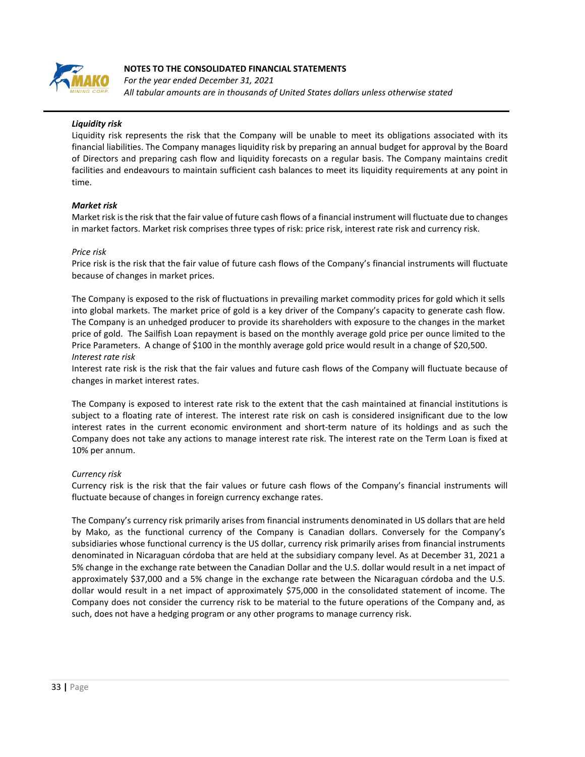

*For the year ended December 31, 2021 All tabular amounts are in thousands of United States dollars unless otherwise stated*

## *Liquidity risk*

Liquidity risk represents the risk that the Company will be unable to meet its obligations associated with its financial liabilities. The Company manages liquidity risk by preparing an annual budget for approval by the Board of Directors and preparing cash flow and liquidity forecasts on a regular basis. The Company maintains credit facilities and endeavours to maintain sufficient cash balances to meet its liquidity requirements at any point in time.

## *Market risk*

Market risk is the risk that the fair value of future cash flows of a financial instrument will fluctuate due to changes in market factors. Market risk comprises three types of risk: price risk, interest rate risk and currency risk.

#### *Price risk*

Price risk is the risk that the fair value of future cash flows of the Company's financial instruments will fluctuate because of changes in market prices.

The Company is exposed to the risk of fluctuations in prevailing market commodity prices for gold which it sells into global markets. The market price of gold is a key driver of the Company's capacity to generate cash flow. The Company is an unhedged producer to provide its shareholders with exposure to the changes in the market price of gold. The Sailfish Loan repayment is based on the monthly average gold price per ounce limited to the Price Parameters. A change of \$100 in the monthly average gold price would result in a change of \$20,500. *Interest rate risk* 

Interest rate risk is the risk that the fair values and future cash flows of the Company will fluctuate because of changes in market interest rates.

The Company is exposed to interest rate risk to the extent that the cash maintained at financial institutions is subject to a floating rate of interest. The interest rate risk on cash is considered insignificant due to the low interest rates in the current economic environment and short-term nature of its holdings and as such the Company does not take any actions to manage interest rate risk. The interest rate on the Term Loan is fixed at 10% per annum.

## *Currency risk*

Currency risk is the risk that the fair values or future cash flows of the Company's financial instruments will fluctuate because of changes in foreign currency exchange rates.

The Company's currency risk primarily arises from financial instruments denominated in US dollars that are held by Mako, as the functional currency of the Company is Canadian dollars. Conversely for the Company's subsidiaries whose functional currency is the US dollar, currency risk primarily arises from financial instruments denominated in Nicaraguan córdoba that are held at the subsidiary company level. As at December 31, 2021 a 5% change in the exchange rate between the Canadian Dollar and the U.S. dollar would result in a net impact of approximately \$37,000 and a 5% change in the exchange rate between the Nicaraguan córdoba and the U.S. dollar would result in a net impact of approximately \$75,000 in the consolidated statement of income. The Company does not consider the currency risk to be material to the future operations of the Company and, as such, does not have a hedging program or any other programs to manage currency risk.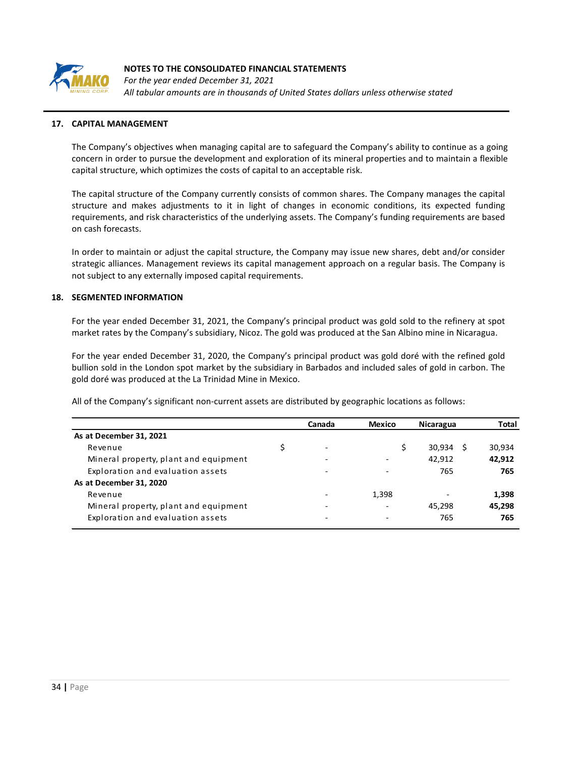

*For the year ended December 31, 2021 All tabular amounts are in thousands of United States dollars unless otherwise stated*

#### **17. CAPITAL MANAGEMENT**

The Company's objectives when managing capital are to safeguard the Company's ability to continue as a going concern in order to pursue the development and exploration of its mineral properties and to maintain a flexible capital structure, which optimizes the costs of capital to an acceptable risk.

The capital structure of the Company currently consists of common shares. The Company manages the capital structure and makes adjustments to it in light of changes in economic conditions, its expected funding requirements, and risk characteristics of the underlying assets. The Company's funding requirements are based on cash forecasts.

In order to maintain or adjust the capital structure, the Company may issue new shares, debt and/or consider strategic alliances. Management reviews its capital management approach on a regular basis. The Company is not subject to any externally imposed capital requirements.

#### **18. SEGMENTED INFORMATION**

For the year ended December 31, 2021, the Company's principal product was gold sold to the refinery at spot market rates by the Company's subsidiary, Nicoz. The gold was produced at the San Albino mine in Nicaragua.

For the year ended December 31, 2020, the Company's principal product was gold doré with the refined gold bullion sold in the London spot market by the subsidiary in Barbados and included sales of gold in carbon. The gold doré was produced at the La Trinidad Mine in Mexico.

All of the Company's significant non-current assets are distributed by geographic locations as follows:

|                                       | Canada                   | <b>Mexico</b>            | Nicaragua   | Total  |
|---------------------------------------|--------------------------|--------------------------|-------------|--------|
| As at December 31, 2021               |                          |                          |             |        |
| Revenue                               | ٠                        | \$                       | 30,934<br>S | 30,934 |
| Mineral property, plant and equipment | $\overline{\phantom{0}}$ |                          | 42,912      | 42,912 |
| Exploration and evaluation assets     | $\overline{\phantom{0}}$ | -                        | 765         | 765    |
| As at December 31, 2020               |                          |                          |             |        |
| Revenue                               |                          | 1,398                    |             | 1,398  |
| Mineral property, plant and equipment | $\overline{\phantom{0}}$ | $\overline{\phantom{a}}$ | 45,298      | 45,298 |
| Exploration and evaluation assets     | $\overline{\phantom{0}}$ | $\overline{\phantom{0}}$ | 765         | 765    |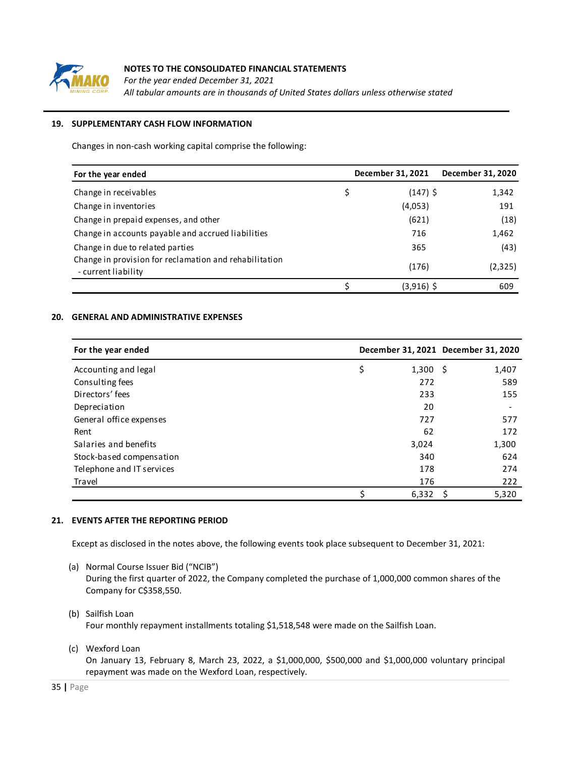

*For the year ended December 31, 2021 All tabular amounts are in thousands of United States dollars unless otherwise stated*

## **19. SUPPLEMENTARY CASH FLOW INFORMATION**

Changes in non-cash working capital comprise the following:

| For the year ended                                                            |   | December 31, 2021 | December 31, 2020 |
|-------------------------------------------------------------------------------|---|-------------------|-------------------|
| Change in receivables                                                         | Ş | $(147)$ \$        | 1,342             |
| Change in inventories                                                         |   | (4,053)           | 191               |
| Change in prepaid expenses, and other                                         |   | (621)             | (18)              |
| Change in accounts payable and accrued liabilities                            |   | 716               | 1,462             |
| Change in due to related parties                                              |   | 365               | (43)              |
| Change in provision for reclamation and rehabilitation<br>- current liability |   | (176)             | (2,325)           |
|                                                                               |   | (3,916) \$        | 609               |

## **20. GENERAL AND ADMINISTRATIVE EXPENSES**

| For the year ended        |                        | December 31, 2021 December 31, 2020 |
|---------------------------|------------------------|-------------------------------------|
| Accounting and legal      | \$<br>$1,300 \quad $5$ | 1,407                               |
| Consulting fees           | 272                    | 589                                 |
| Directors' fees           | 233                    | 155                                 |
| Depreciation              | 20                     |                                     |
| General office expenses   | 727                    | 577                                 |
| Rent                      | 62                     | 172                                 |
| Salaries and benefits     | 3,024                  | 1,300                               |
| Stock-based compensation  | 340                    | 624                                 |
| Telephone and IT services | 178                    | 274                                 |
| Travel                    | 176                    | 222                                 |
|                           | 6,332                  | 5,320<br><sub>S</sub>               |

## **21. EVENTS AFTER THE REPORTING PERIOD**

Except as disclosed in the notes above, the following events took place subsequent to December 31, 2021:

(a) Normal Course Issuer Bid ("NCIB")

During the first quarter of 2022, the Company completed the purchase of 1,000,000 common shares of the Company for C\$358,550.

- (b) Sailfish Loan Four monthly repayment installments totaling \$1,518,548 were made on the Sailfish Loan.
- (c) Wexford Loan

On January 13, February 8, March 23, 2022, a \$1,000,000, \$500,000 and \$1,000,000 voluntary principal repayment was made on the Wexford Loan, respectively.